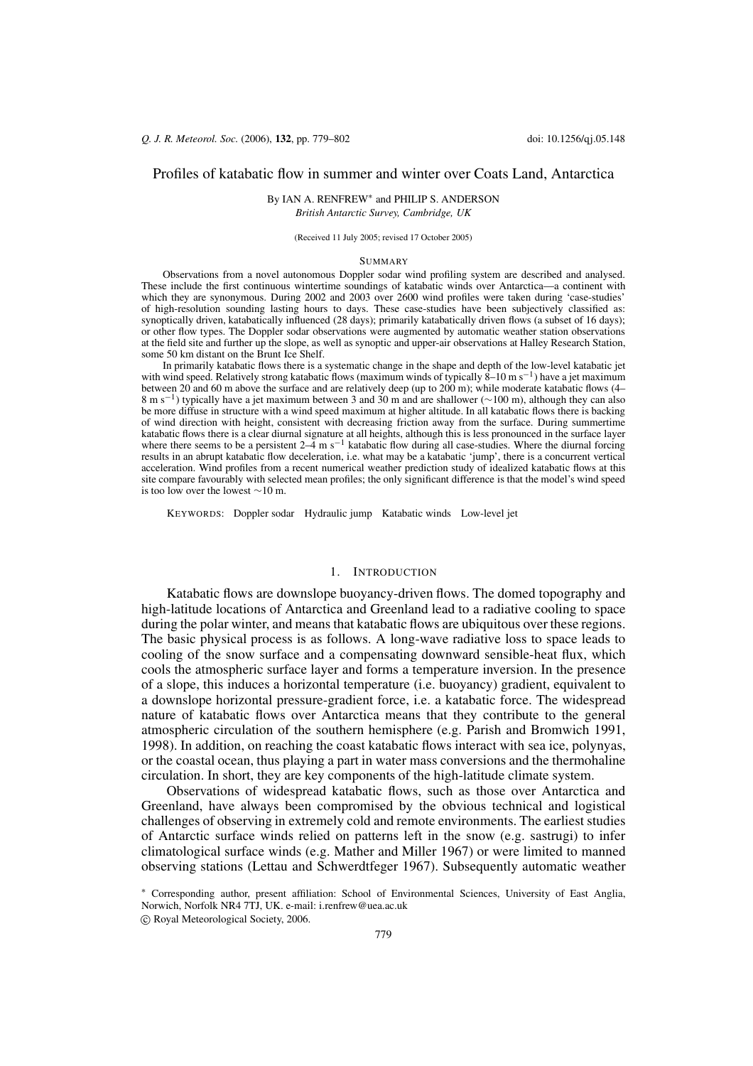# Profiles of katabatic flow in summer and winter over Coats Land, Antarctica

By IAN A. RENFREW\* and PHILIP S. ANDERSON

British Antarctic Survey, Cambridge, UK

(Received 11 July 2005; revised 17 October 2005)

### **SUMMARY**

Observations from a novel autonomous Doppler sodar wind profiling system are described and analysed. These include the first continuous wintertime soundings of katabatic winds over Antarctica-a continent with which they are synonymous. During 2002 and 2003 over 2600 wind profiles were taken during 'case-studies' of high-resolution sounding lasting hours to days. These case-studies have been subjectively classified as: synoptically driven, katabatically influenced (28 days); primarily katabatically driven flows (a subset of 16 days); or other flow types. The Doppler sodar observations were augmented by automatic weather station observations at the field site and further up the slope, as well as synoptic and upper-air observations at Halley Research Station, some 50 km distant on the Brunt Ice Shelf.

In primarily katabatic flows there is a systematic change in the shape and depth of the low-level katabatic jet with wind speed. Relatively strong katabatic flows (maximum winds of typically  $\delta$ –10 m s<sup>-1</sup>) have a jet maximum between 20 and 60 m above the surface and are relatively deep (up to 200 m); while moderate katabatic flows (4-8 m s<sup>-1</sup>) typically have a jet maximum between 3 and 30 m and are shallower ( $\sim$ 100 m), although they can also be more diffuse in structure with a wind speed maximum at higher altitude. In all katabatic flows there is backing of wind direction with height, consistent with decreasing friction away from the surface. During summertime katabatic flows there is a clear diurnal signature at all heights, although this is less pronounced in the surface layer<br>where there seems to be a persistent  $2-4$  m s<sup>-1</sup> katabatic flow during all case-studies. Where the acceleration. Wind profiles from a recent numerical weather prediction study of idealized katabatic flows at this site compare favourably with selected mean profiles; the only significant difference is that the model's wind speed is too low over the lowest  $\sim$ 10 m.

KEYWORDS: Doppler sodar Hydraulic jump Katabatic winds Low-level jet

### 1. INTRODUCTION

Katabatic flows are downslope buoyancy-driven flows. The domed topography and high-latitude locations of Antarctica and Greenland lead to a radiative cooling to space during the polar winter, and means that katabatic flows are ubiquitous over these regions. The basic physical process is as follows. A long-wave radiative loss to space leads to cooling of the snow surface and a compensating downward sensible-heat flux, which cools the atmospheric surface layer and forms a temperature inversion. In the presence of a slope, this induces a horizontal temperature (i.e. buoyancy) gradient, equivalent to a downslope horizontal pressure-gradient force, i.e. a katabatic force. The widespread nature of katabatic flows over Antarctica means that they contribute to the general atmospheric circulation of the southern hemisphere (e.g. Parish and Bromwich 1991, 1998). In addition, on reaching the coast katabatic flows interact with sea ice, polynyas, or the coastal ocean, thus playing a part in water mass conversions and the thermohaline circulation. In short, they are key components of the high-latitude climate system.

Observations of widespread katabatic flows, such as those over Antarctica and Greenland, have always been compromised by the obvious technical and logistical challenges of observing in extremely cold and remote environments. The earliest studies of Antarctic surface winds relied on patterns left in the snow (e.g. sastrugi) to infer climatological surface winds (e.g. Mather and Miller 1967) or were limited to manned observing stations (Lettau and Schwerdtfeger 1967). Subsequently automatic weather

<sup>\*</sup> Corresponding author, present affiliation: School of Environmental Sciences, University of East Anglia, Norwich, Norfolk NR4 7TJ, UK. e-mail: i.renfrew@uea.ac.uk (c) Royal Meteorological Society, 2006.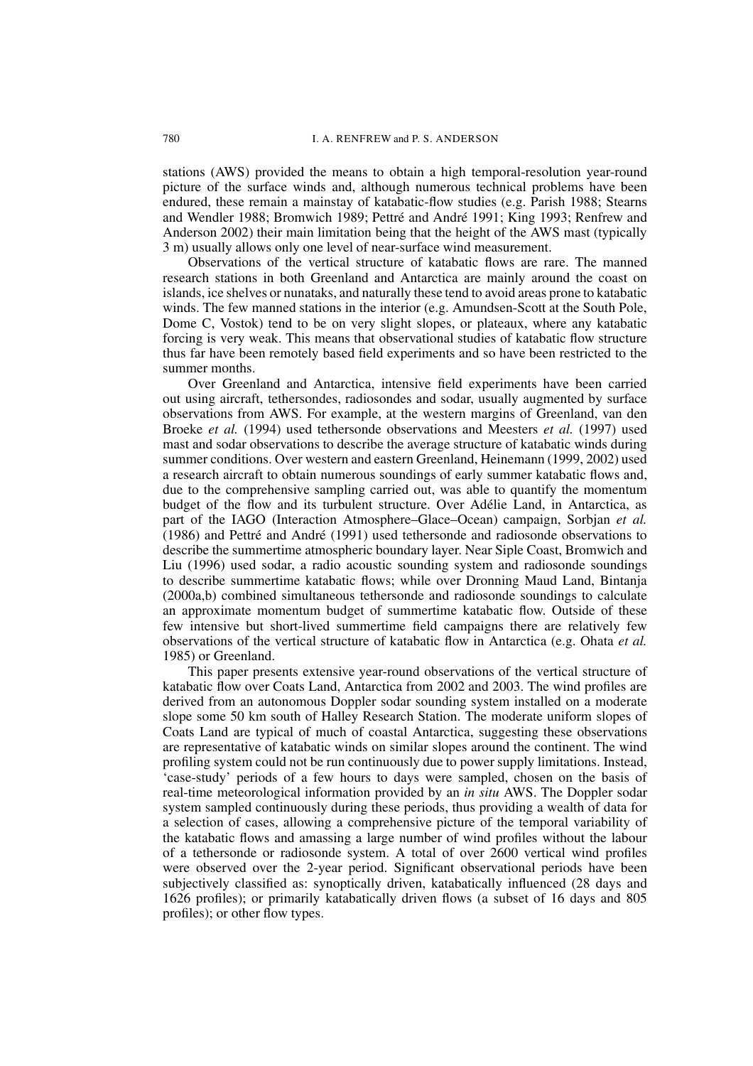stations (AWS) provided the means to obtain a high temporal-resolution year-round picture of the surface winds and, although numerous technical problems have been endured, these remain a mainstay of katabatic-flow studies (e.g. Parish 1988; Stearns and Wendler 1988; Bromwich 1989; Pettré and André 1991; King 1993; Renfrew and Anderson 2002) their main limitation being that the height of the AWS mast (typically 3 m) usually allows only one level of near-surface wind measurement.

Observations of the vertical structure of katabatic flows are rare. The manned research stations in both Greenland and Antarctica are mainly around the coast on islands, ice shelves or nunataks, and naturally these tend to avoid areas prone to katabatic winds. The few manned stations in the interior (e.g. Amundsen-Scott at the South Pole, Dome C, Vostok) tend to be on very slight slopes, or plateaux, where any katabatic forcing is very weak. This means that observational studies of katabatic flow structure thus far have been remotely based field experiments and so have been restricted to the summer months.

Over Greenland and Antarctica, intensive field experiments have been carried out using aircraft, tethersondes, radiosondes and sodar, usually augmented by surface observations from AWS. For example, at the western margins of Greenland, van den Broeke et al. (1994) used tethersonde observations and Meesters et al. (1997) used mast and sodar observations to describe the average structure of katabatic winds during summer conditions. Over western and eastern Greenland, Heinemann (1999, 2002) used a research aircraft to obtain numerous soundings of early summer katabatic flows and, due to the comprehensive sampling carried out, was able to quantify the momentum budget of the flow and its turbulent structure. Over Adélie Land, in Antarctica, as part of the IAGO (Interaction Atmosphere-Glace-Ocean) campaign, Sorbjan et al. (1986) and Pettré and André (1991) used tethersonde and radiosonde observations to describe the summertime atmospheric boundary layer. Near Siple Coast, Bromwich and Liu (1996) used sodar, a radio acoustic sounding system and radiosonde soundings to describe summertime katabatic flows; while over Dronning Maud Land, Bintanja (2000a,b) combined simultaneous tethersonde and radiosonde soundings to calculate an approximate momentum budget of summertime katabatic flow. Outside of these few intensive but short-lived summertime field campaigns there are relatively few observations of the vertical structure of katabatic flow in Antarctica (e.g. Ohata et al. 1985) or Greenland.

This paper presents extensive year-round observations of the vertical structure of katabatic flow over Coats Land, Antarctica from 2002 and 2003. The wind profiles are derived from an autonomous Doppler sodar sounding system installed on a moderate slope some 50 km south of Halley Research Station. The moderate uniform slopes of Coats Land are typical of much of coastal Antarctica, suggesting these observations are representative of katabatic winds on similar slopes around the continent. The wind profiling system could not be run continuously due to power supply limitations. Instead, case-study' periods of a few hours to days were sampled, chosen on the basis of real-time meteorological information provided by an *in situ* AWS. The Doppler sodar system sampled continuously during these periods, thus providing a wealth of data for a selection of cases, allowing a comprehensive picture of the temporal variability of the katabatic flows and amassing a large number of wind profiles without the labour of a tethersonde or radiosonde system. A total of over  $2600$  vertical wind profiles were observed over the 2-year period. Significant observational periods have been subjectively classified as: synoptically driven, katabatically influenced (28 days and 1626 profiles); or primarily katabatically driven flows (a subset of 16 days and 805 profiles); or other flow types.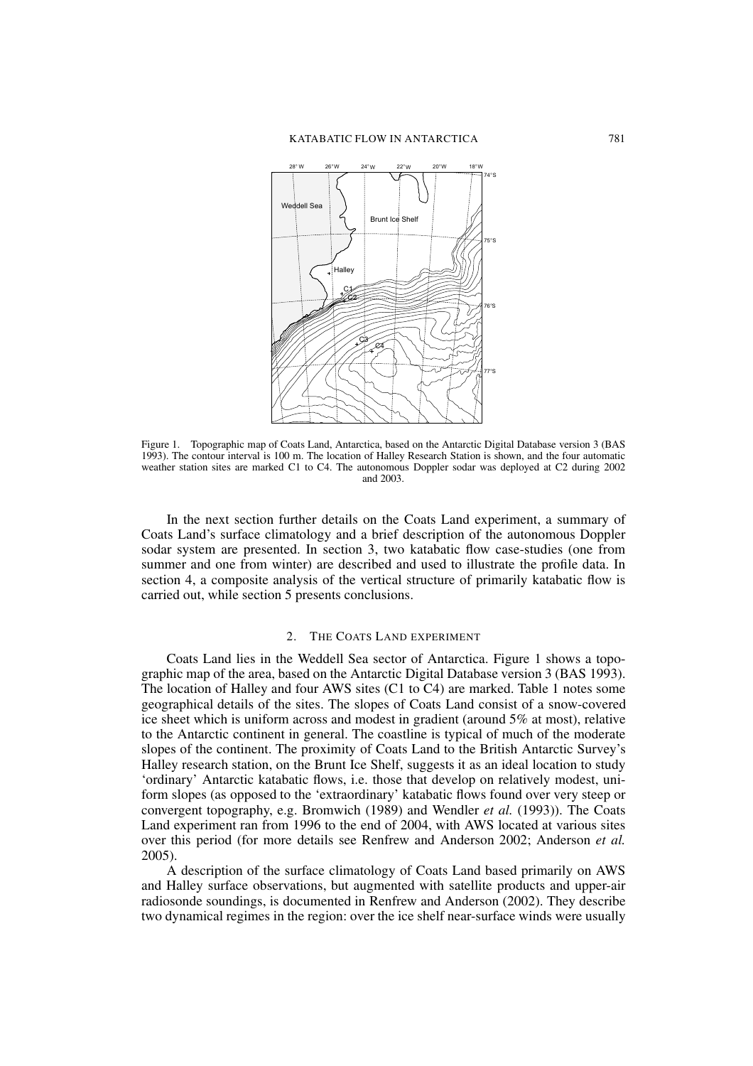

Figure 1. Topographic map of Coats Land, Antarctica, based on the Antarctic Digital Database version 3 (BAS 1993). The contour interval is 100 m. The location of Halley Research Station is shown, and the four automatic weather station sites are marked C1 to C4. The autonomous Doppler sodar was deployed at C2 during 2002 and 2003.

In the next section further details on the Coats Land experiment, a summary of Coats Land's surface climatology and a brief description of the autonomous Doppler sodar system are presented. In section 3, two katabatic flow case-studies (one from summer and one from winter) are described and used to illustrate the profile data. In section 4, a composite analysis of the vertical structure of primarily katabatic flow is carried out, while section 5 presents conclusions.

#### $2^{\circ}$ THE COATS LAND EXPERIMENT

Coats Land lies in the Weddell Sea sector of Antarctica. Figure 1 shows a topographic map of the area, based on the Antarctic Digital Database version 3 (BAS 1993). The location of Halley and four AWS sites (C1 to C4) are marked. Table 1 notes some geographical details of the sites. The slopes of Coats Land consist of a snow-covered ice sheet which is uniform across and modest in gradient (around 5% at most), relative to the Antarctic continent in general. The coastline is typical of much of the moderate slopes of the continent. The proximity of Coats Land to the British Antarctic Survey's Halley research station, on the Brunt Ice Shelf, suggests it as an ideal location to study 'ordinary' Antarctic katabatic flows, i.e. those that develop on relatively modest, uniform slopes (as opposed to the 'extraordinary' katabatic flows found over very steep or convergent topography, e.g. Bromwich (1989) and Wendler et al. (1993)). The Coats Land experiment ran from 1996 to the end of 2004, with AWS located at various sites over this period (for more details see Renfrew and Anderson 2002; Anderson et al.  $2005$ ).

A description of the surface climatology of Coats Land based primarily on AWS and Halley surface observations, but augmented with satellite products and upper-air radiosonde soundings, is documented in Renfrew and Anderson (2002). They describe two dynamical regimes in the region: over the ice shelf near-surface winds were usually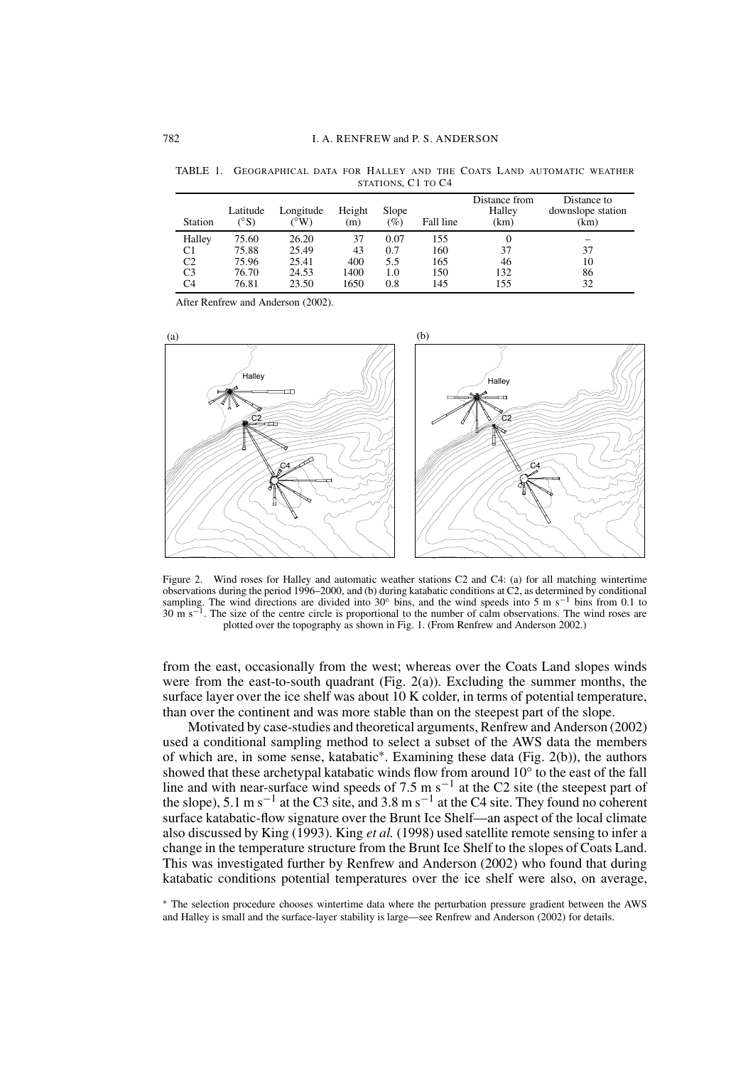| Station | Latitude<br>$\rm ^{\circ}S$ | Longitude<br>$\rm ^{6}W$ | Height<br>(m) | Slope<br>(%) | Fall line | Distance from<br>Halley<br>(km) | Distance to<br>downslope station<br>(km) |
|---------|-----------------------------|--------------------------|---------------|--------------|-----------|---------------------------------|------------------------------------------|
| Halley  | 75.60                       | 26.20                    | 37            | 0.07         | 155       | 0                               |                                          |
| C1      | 75.88                       | 25.49                    | 43            | 0.7          | 160       | 37                              | 37                                       |
| C2      | 75.96                       | 25.41                    | 400           | 5.5          | 165       | 46                              | 10                                       |
| C3      | 76.70                       | 24.53                    | 1400          | 1.0          | 150       | 132                             | 86                                       |
| C4      | 76.81                       | 23.50                    | 1650          | 0.8          | 145       | 155                             | 32                                       |

TABLE 1. GEOGRAPHICAL DATA FOR HALLEY AND THE COATS LAND AUTOMATIC WEATHER STATIONS, C1 TO C4

After Renfrew and Anderson (2002).



Figure 2. Wind roses for Halley and automatic weather stations C2 and C4: (a) for all matching wintertime observations during the period  $1996-2000$ , and (b) during katabatic conditions at  $C2$ , as determined by conditional sampling. The wind directions are divided into 30° bins, and the wind speeds into 5 m s<sup>-1</sup> bins from 0.1 to  $30 \text{ m s}^{-1}$ . The size of the centre circle is proportional to the number of calm observations. The wind roses are plotted over the topography as shown in Fig. 1. (From Renfrew and Anderson 2002.)

from the east, occasionally from the west; whereas over the Coats Land slopes winds were from the east-to-south quadrant (Fig. 2(a)). Excluding the summer months, the surface layer over the ice shelf was about 10 K colder, in terms of potential temperature, than over the continent and was more stable than on the steepest part of the slope.

Motivated by case-studies and theoretical arguments, Renfrew and Anderson (2002) used a conditional sampling method to select a subset of the AWS data the members of which are, in some sense, katabatic\*. Examining these data (Fig. 2(b)), the authors showed that these archetypal katabatic winds flow from around  $10^{\circ}$  to the east of the fall line and with near-surface wind speeds of 7.5 m s<sup>-1</sup> at the C2 site (the steepest part of the slope), 5.1 m s<sup>-1</sup> at the C3 site, and 3.8 m s<sup>-1</sup> at the C4 site. They found no coherent surface katabatic-flow signature over the Brunt Ice Shelf—an aspect of the local climate also discussed by King (1993). King et al. (1998) used satellite remote sensing to infer a change in the temperature structure from the Brunt Ice Shelf to the slopes of Coats Land. This was investigated further by Renfrew and Anderson (2002) who found that during katabatic conditions potential temperatures over the ice shelf were also, on average,

\* The selection procedure chooses wintertime data where the perturbation pressure gradient between the AWS and Halley is small and the surface-layer stability is large—see Renfrew and Anderson (2002) for details.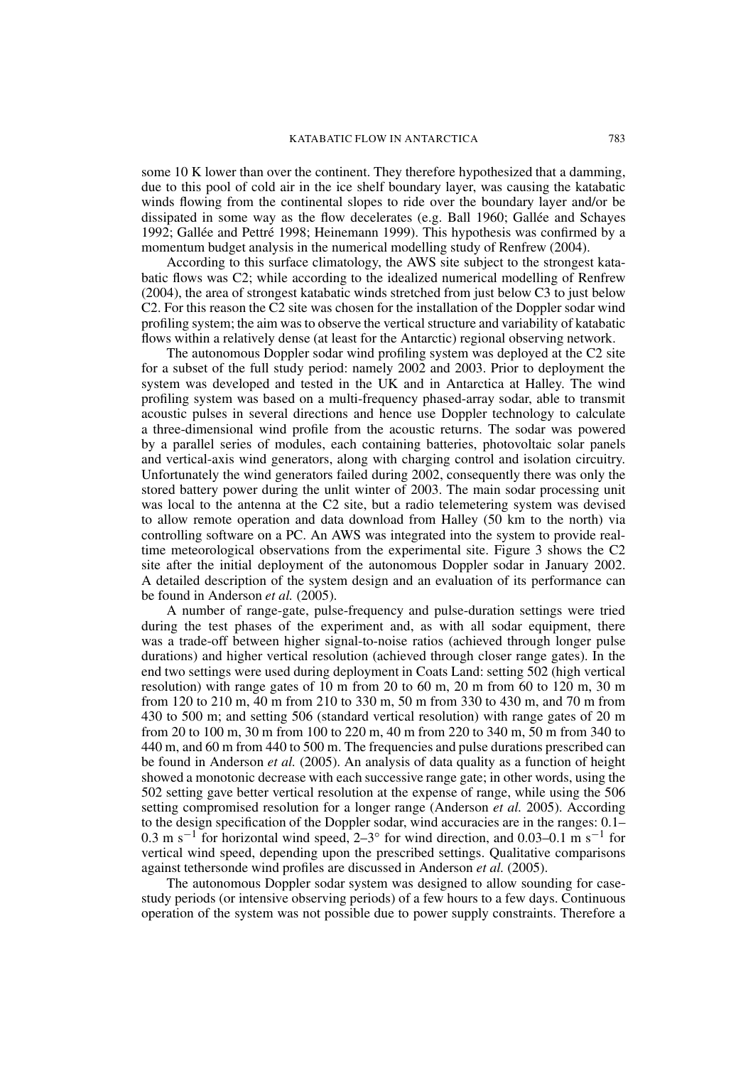some 10 K lower than over the continent. They therefore hypothesized that a damming, due to this pool of cold air in the ice shelf boundary layer, was causing the katabatic winds flowing from the continental slopes to ride over the boundary layer and/or be dissipated in some way as the flow decelerates (e.g. Ball 1960; Gallée and Schayes 1992; Gallée and Pettré 1998; Heinemann 1999). This hypothesis was confirmed by a momentum budget analysis in the numerical modelling study of Renfrew (2004).

According to this surface climatology, the AWS site subject to the strongest katabatic flows was C2; while according to the idealized numerical modelling of Renfrew (2004), the area of strongest katabatic winds stretched from just below C3 to just below C2. For this reason the C2 site was chosen for the installation of the Doppler sodar wind profiling system; the aim was to observe the vertical structure and variability of katabatic flows within a relatively dense (at least for the Antarctic) regional observing network.

The autonomous Doppler sodar wind profiling system was deployed at the C2 site for a subset of the full study period: namely 2002 and 2003. Prior to deployment the system was developed and tested in the UK and in Antarctica at Halley. The wind profiling system was based on a multi-frequency phased-array sodar, able to transmit acoustic pulses in several directions and hence use Doppler technology to calculate a three-dimensional wind profile from the acoustic returns. The sodar was powered by a parallel series of modules, each containing batteries, photovoltaic solar panels and vertical-axis wind generators, along with charging control and isolation circuitry. Unfortunately the wind generators failed during 2002, consequently there was only the stored battery power during the unlit winter of 2003. The main sodar processing unit was local to the antenna at the C2 site, but a radio telemetering system was devised to allow remote operation and data download from Halley (50 km to the north) via controlling software on a PC. An AWS was integrated into the system to provide realtime meteorological observations from the experimental site. Figure 3 shows the C2 site after the initial deployment of the autonomous Doppler sodar in January 2002. A detailed description of the system design and an evaluation of its performance can be found in Anderson et al. (2005).

A number of range-gate, pulse-frequency and pulse-duration settings were tried during the test phases of the experiment and, as with all sodar equipment, there was a trade-off between higher signal-to-noise ratios (achieved through longer pulse durations) and higher vertical resolution (achieved through closer range gates). In the end two settings were used during deployment in Coats Land: setting 502 (high vertical resolution) with range gates of 10 m from 20 to 60 m, 20 m from 60 to 120 m, 30 m from 120 to 210 m, 40 m from 210 to 330 m, 50 m from 330 to 430 m, and 70 m from 430 to 500 m; and setting 506 (standard vertical resolution) with range gates of 20 m from 20 to 100 m, 30 m from 100 to 220 m, 40 m from 220 to 340 m, 50 m from 340 to 440 m, and 60 m from 440 to 500 m. The frequencies and pulse durations prescribed can be found in Anderson *et al.* (2005). An analysis of data quality as a function of height showed a monotonic decrease with each successive range gate; in other words, using the 502 setting gave better vertical resolution at the expense of range, while using the 506 setting compromised resolution for a longer range (Anderson *et al.* 2005). According to the design specification of the Doppler sodar, wind accuracies are in the ranges: 0.1– 0.3 m s<sup>-1</sup> for horizontal wind speed,  $2-3^{\circ}$  for wind direction, and 0.03-0.1 m s<sup>-1</sup> for vertical wind speed, depending upon the prescribed settings. Qualitative comparisons against tethersonde wind profiles are discussed in Anderson et al. (2005).

The autonomous Doppler sodar system was designed to allow sounding for casestudy periods (or intensive observing periods) of a few hours to a few days. Continuous operation of the system was not possible due to power supply constraints. Therefore a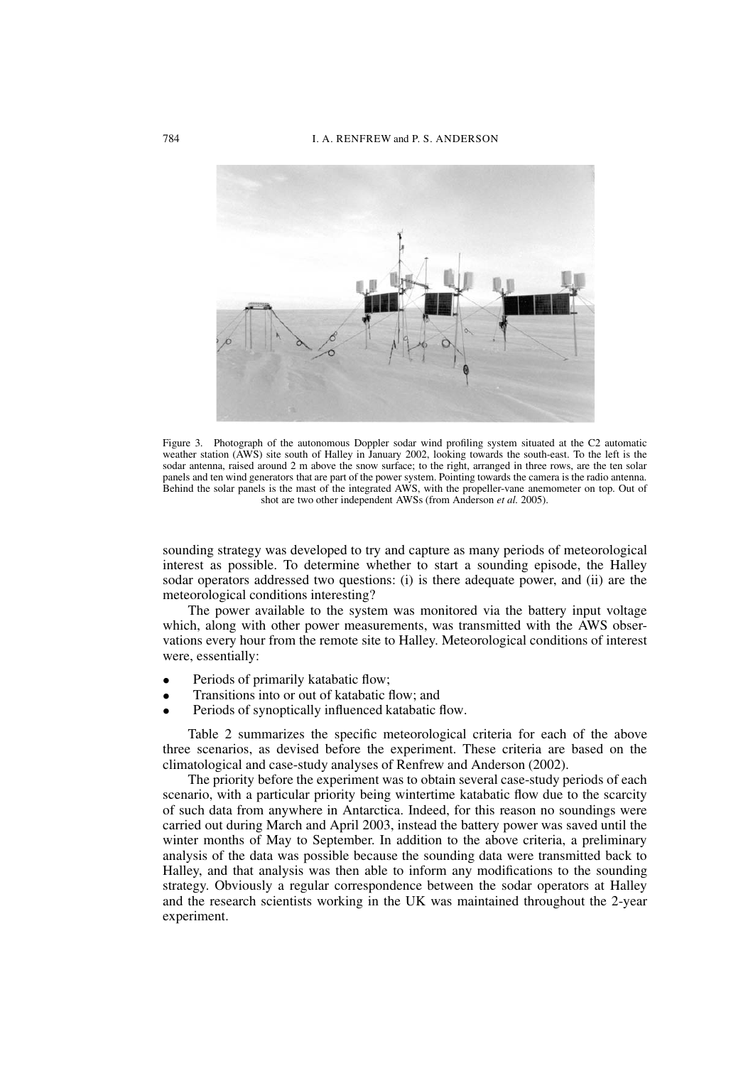

Figure 3. Photograph of the autonomous Doppler sodar wind profiling system situated at the C2 automatic weather station (AWS) site south of Halley in January 2002, looking towards the south-east. To the left is the sodar antenna, raised around 2 m above the snow surface; to the right, arranged in three rows, are the ten solar panels and ten wind generators that are part of the power system. Pointing towards the camera is the radio antenna. Behind the solar panels is the mast of the integrated AWS, with the propeller-vane anemometer on top. Out of shot are two other independent AWSs (from Anderson *et al.* 2005).

sounding strategy was developed to try and capture as many periods of meteorological interest as possible. To determine whether to start a sounding episode, the Halley sodar operators addressed two questions: (i) is there adequate power, and (ii) are the meteorological conditions interesting?

The power available to the system was monitored via the battery input voltage which, along with other power measurements, was transmitted with the AWS observations every hour from the remote site to Halley. Meteorological conditions of interest were, essentially:

- Periods of primarily katabatic flow;
- Transitions into or out of katabatic flow; and
- Periods of synoptically influenced katabatic flow.

Table 2 summarizes the specific meteorological criteria for each of the above three scenarios, as devised before the experiment. These criteria are based on the climatological and case-study analyses of Renfrew and Anderson (2002).

The priority before the experiment was to obtain several case-study periods of each scenario, with a particular priority being wintertime katabatic flow due to the scarcity of such data from anywhere in Antarctica. Indeed, for this reason no soundings were carried out during March and April 2003, instead the battery power was saved until the winter months of May to September. In addition to the above criteria, a preliminary analysis of the data was possible because the sounding data were transmitted back to Halley, and that analysis was then able to inform any modifications to the sounding strategy. Obviously a regular correspondence between the sodar operators at Halley and the research scientists working in the UK was maintained throughout the 2-year experiment.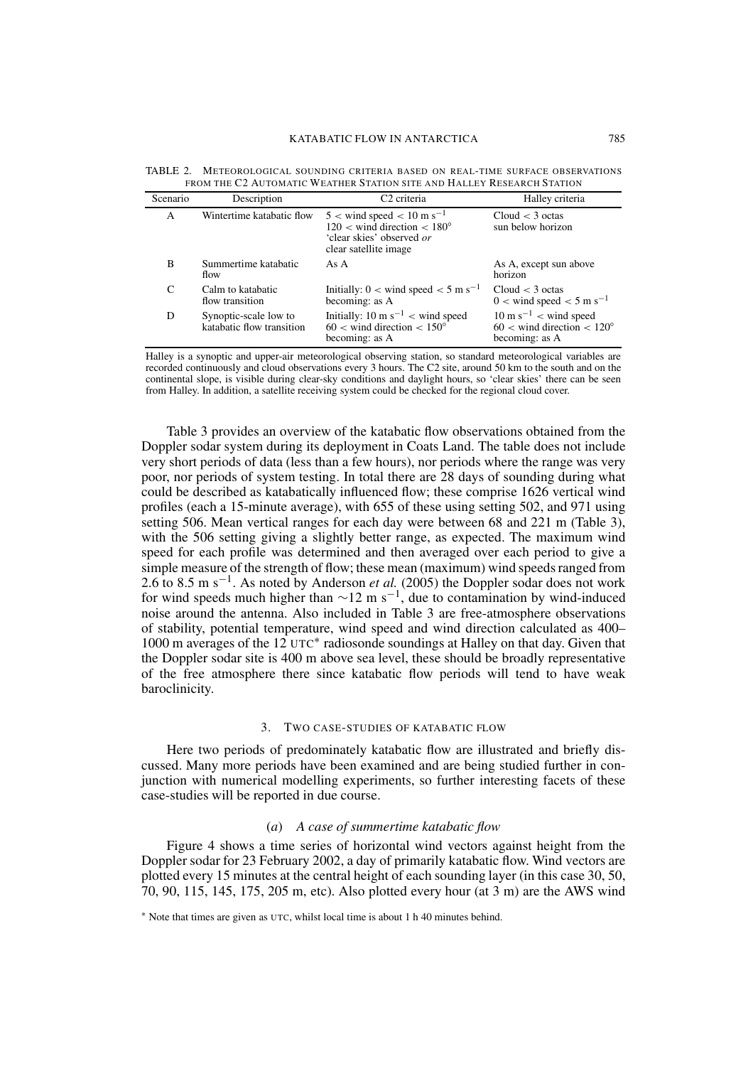| Scenario | Description                                        | C <sub>2</sub> criteria                                                                                                                         | Halley criteria                                                                               |  |
|----------|----------------------------------------------------|-------------------------------------------------------------------------------------------------------------------------------------------------|-----------------------------------------------------------------------------------------------|--|
| A        | Wintertime katabatic flow                          | $5 <$ wind speed $< 10 \text{ m s}^{-1}$<br>$120 \lt$ wind direction $\lt$ 180 $^{\circ}$<br>'clear skies' observed or<br>clear satellite image | Cloud $<$ 3 octas<br>sun below horizon                                                        |  |
| B        | Summertime katabatic<br>flow                       | As A                                                                                                                                            | As A, except sun above<br>horizon                                                             |  |
| C        | Calm to katabatic<br>flow transition               | Initially: $0 <$ wind speed $< 5$ m s <sup>-1</sup><br>becoming: as A                                                                           | Cloud < 3 octas<br>$0 <$ wind speed $< 5$ m s <sup>-1</sup>                                   |  |
| D        | Synoptic-scale low to<br>katabatic flow transition | Initially: 10 m s <sup>-1</sup> < wind speed<br>$60 <$ wind direction $< 150^{\circ}$<br>becoming: as A                                         | $10 \text{ m s}^{-1}$ < wind speed<br>$60 <$ wind direction $< 120^{\circ}$<br>becoming: as A |  |

TABLE 2. METEOROLOGICAL SOUNDING CRITERIA BASED ON REAL-TIME SURFACE OBSERVATIONS FROM THE C2 AUTOMATIC WEATHER STATION SITE AND HALLEY RESEARCH STATION

Halley is a synoptic and upper-air meteorological observing station, so standard meteorological variables are recorded continuously and cloud observations every 3 hours. The C2 site, around 50 km to the south and on the continental slope, is visible during clear-sky conditions and daylight hours, so 'clear skies' there can be seen from Halley. In addition, a satellite receiving system could be checked for the regional cloud cover.

Table 3 provides an overview of the katabatic flow observations obtained from the Doppler sodar system during its deployment in Coats Land. The table does not include very short periods of data (less than a few hours), nor periods where the range was very poor, nor periods of system testing. In total there are 28 days of sounding during what could be described as katabatically influenced flow; these comprise 1626 vertical wind profiles (each a 15-minute average), with 655 of these using setting 502, and 971 using setting 506. Mean vertical ranges for each day were between 68 and 221 m (Table 3), with the 506 setting giving a slightly better range, as expected. The maximum wind speed for each profile was determined and then averaged over each period to give a simple measure of the strength of flow; these mean (maximum) wind speeds ranged from 2.6 to 8.5 m s<sup>-1</sup>. As noted by Anderson *et al.* (2005) the Doppler sodar does not work for wind speeds much higher than  $\sim$ 12 m s<sup>-1</sup>, due to contamination by wind-induced noise around the antenna. Also included in Table 3 are free-atmosphere observations of stability, potential temperature, wind speed and wind direction calculated as 400– 1000 m averages of the  $12 \text{ UTC}^*$  radiosonde soundings at Halley on that day. Given that the Doppler sodar site is 400 m above sea level, these should be broadly representative of the free atmosphere there since katabatic flow periods will tend to have weak baroclinicity.

### 3. TWO CASE-STUDIES OF KATABATIC FLOW

Here two periods of predominately katabatic flow are illustrated and briefly discussed. Many more periods have been examined and are being studied further in conjunction with numerical modelling experiments, so further interesting facets of these case-studies will be reported in due course.

# $(a)$  A case of summertime katabatic flow

Figure 4 shows a time series of horizontal wind vectors against height from the Doppler sodar for 23 February 2002, a day of primarily katabatic flow. Wind vectors are plotted every 15 minutes at the central height of each sounding layer (in this case 30, 50, 70, 90, 115, 145, 175, 205 m, etc). Also plotted every hour (at  $3 \text{ m}$ ) are the AWS wind

<sup>\*</sup> Note that times are given as UTC, whilst local time is about 1 h 40 minutes behind.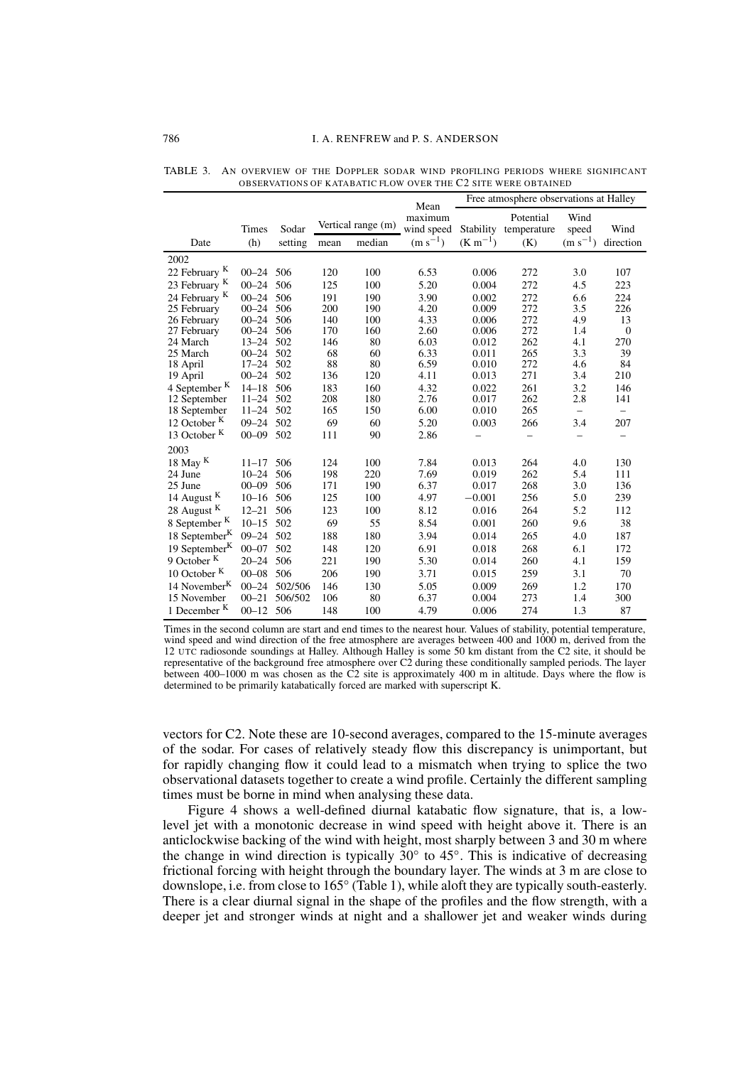| FABLE 3.   AN OVERVIEW OF THE DOPPLER SODAR WIND PROFILING PERIODS WHERE SIGNIFICANT |                                                               |  |
|--------------------------------------------------------------------------------------|---------------------------------------------------------------|--|
|                                                                                      | OBSERVATIONS OF KATABATIC FLOW OVER THE C2 SITE WERE OBTAINED |  |

|                           |           |         |      |                    | Free atmosphere observations at Halley<br>Mean |              |                          |                          |                          |  |
|---------------------------|-----------|---------|------|--------------------|------------------------------------------------|--------------|--------------------------|--------------------------|--------------------------|--|
|                           | Times     | Sodar   |      | Vertical range (m) | maximum<br>wind speed                          | Stability    | Potential<br>temperature | Wind<br>speed            | Wind                     |  |
| Date                      | (h)       | setting | mean | median             | $(m s^{-1})$                                   | $(K m^{-1})$ | (K)                      | $(m s^{-1})$             | direction                |  |
| 2002                      |           |         |      |                    |                                                |              |                          |                          |                          |  |
| 22 February K             | $00 - 24$ | 506     | 120  | 100                | 6.53                                           | 0.006        | 272                      | 3.0                      | 107                      |  |
| 23 February K             | $00 - 24$ | 506     | 125  | 100                | 5.20                                           | 0.004        | 272                      | 4.5                      | 223                      |  |
| 24 February <sup>K</sup>  | $00 - 24$ | 506     | 191  | 190                | 3.90                                           | 0.002        | 272                      | 6.6                      | 224                      |  |
| 25 February               | $00 - 24$ | 506     | 200  | 190                | 4.20                                           | 0.009        | 272                      | 3.5                      | 226                      |  |
| 26 February               | $00 - 24$ | 506     | 140  | 100                | 4.33                                           | 0.006        | 272                      | 4.9                      | 13                       |  |
| 27 February               | $00 - 24$ | 506     | 170  | 160                | 2.60                                           | 0.006        | 272                      | 1.4                      | $\overline{0}$           |  |
| 24 March                  | $13 - 24$ | 502     | 146  | 80                 | 6.03                                           | 0.012        | 262                      | 4.1                      | 270                      |  |
| 25 March                  | $00 - 24$ | 502     | 68   | 60                 | 6.33                                           | 0.011        | 265                      | 3.3                      | 39                       |  |
| 18 April                  | $17 - 24$ | 502     | 88   | 80                 | 6.59                                           | 0.010        | 272                      | 4.6                      | 84                       |  |
| 19 April                  | $00 - 24$ | 502     | 136  | 120                | 4.11                                           | 0.013        | 271                      | 3.4                      | 210                      |  |
| 4 September <sup>K</sup>  | $14 - 18$ | 506     | 183  | 160                | 4.32                                           | 0.022        | 261                      | 3.2                      | 146                      |  |
| 12 September              | $11 - 24$ | 502     | 208  | 180                | 2.76                                           | 0.017        | 262                      | 2.8                      | 141                      |  |
| 18 September              | $11 - 24$ | 502     | 165  | 150                | 6.00                                           | 0.010        | 265                      | $\overline{\phantom{0}}$ | $\qquad \qquad -$        |  |
| 12 October <sup>K</sup>   | $09 - 24$ | 502     | 69   | 60                 | 5.20                                           | 0.003        | 266                      | 3.4                      | 207                      |  |
| 13 October K              | $00 - 09$ | 502     | 111  | 90                 | 2.86                                           |              |                          |                          | $\overline{\phantom{0}}$ |  |
| 2003                      |           |         |      |                    |                                                |              |                          |                          |                          |  |
| 18 May $K$                | $11 - 17$ | 506     | 124  | 100                | 7.84                                           | 0.013        | 264                      | 4.0                      | 130                      |  |
| 24 June                   | $10 - 24$ | 506     | 198  | 220                | 7.69                                           | 0.019        | 262                      | 5.4                      | 111                      |  |
| 25 June                   | $00 - 09$ | 506     | 171  | 190                | 6.37                                           | 0.017        | 268                      | 3.0                      | 136                      |  |
| 14 August <sup>K</sup>    | $10 - 16$ | 506     | 125  | 100                | 4.97                                           | $-0.001$     | 256                      | 5.0                      | 239                      |  |
| 28 August <sup>K</sup>    | $12 - 21$ | 506     | 123  | 100                | 8.12                                           | 0.016        | 264                      | 5.2                      | 112                      |  |
| 8 September <sup>K</sup>  | $10 - 15$ | 502     | 69   | 55                 | 8.54                                           | 0.001        | 260                      | 9.6                      | 38                       |  |
| 18 September <sup>K</sup> | $09 - 24$ | 502     | 188  | 180                | 3.94                                           | 0.014        | 265                      | 4.0                      | 187                      |  |
| 19 September $K$          | $00 - 07$ | 502     | 148  | 120                | 6.91                                           | 0.018        | 268                      | 6.1                      | 172                      |  |
| 9 October <sup>K</sup>    | $20 - 24$ | 506     | 221  | 190                | 5.30                                           | 0.014        | 260                      | 4.1                      | 159                      |  |
| 10 October <sup>K</sup>   | $00 - 08$ | 506     | 206  | 190                | 3.71                                           | 0.015        | 259                      | 3.1                      | 70                       |  |
| 14 November <sup>K</sup>  | $00 - 24$ | 502/506 | 146  | 130                | 5.05                                           | 0.009        | 269                      | 1.2                      | 170                      |  |
| 15 November               | $00 - 21$ | 506/502 | 106  | 80                 | 6.37                                           | 0.004        | 273                      | 1.4                      | 300                      |  |
| 1 December <sup>K</sup>   | $00 - 12$ | 506     | 148  | 100                | 4.79                                           | 0.006        | 274                      | 1.3                      | 87                       |  |
|                           |           |         |      |                    |                                                |              |                          |                          |                          |  |

Times in the second column are start and end times to the nearest hour. Values of stability, potential temperature, wind speed and wind direction of the free atmosphere are averages between 400 and 1000 m, derived from the 12 UTC radiosonde soundings at Halley. Although Halley is some 50 km distant from the C2 site, it should be representative of the background free atmosphere over C2 during these conditionally sampled periods. The layer between 400–1000 m was chosen as the C2 site is approximately 400 m in altitude. Days where the flow is determined to be primarily katabatically forced are marked with superscript K.

vectors for C2. Note these are 10-second averages, compared to the 15-minute averages of the sodar. For cases of relatively steady flow this discrepancy is unimportant, but for rapidly changing flow it could lead to a mismatch when trying to splice the two observational datasets together to create a wind profile. Certainly the different sampling times must be borne in mind when analysing these data.

Figure 4 shows a well-defined diurnal katabatic flow signature, that is, a lowlevel jet with a monotonic decrease in wind speed with height above it. There is an anticlockwise backing of the wind with height, most sharply between 3 and 30 m where the change in wind direction is typically  $30^{\circ}$  to  $45^{\circ}$ . This is indicative of decreasing frictional forcing with height through the boundary layer. The winds at 3 m are close to downslope, i.e. from close to 165° (Table 1), while aloft they are typically south-easterly. There is a clear diurnal signal in the shape of the profiles and the flow strength, with a deeper jet and stronger winds at night and a shallower jet and weaker winds during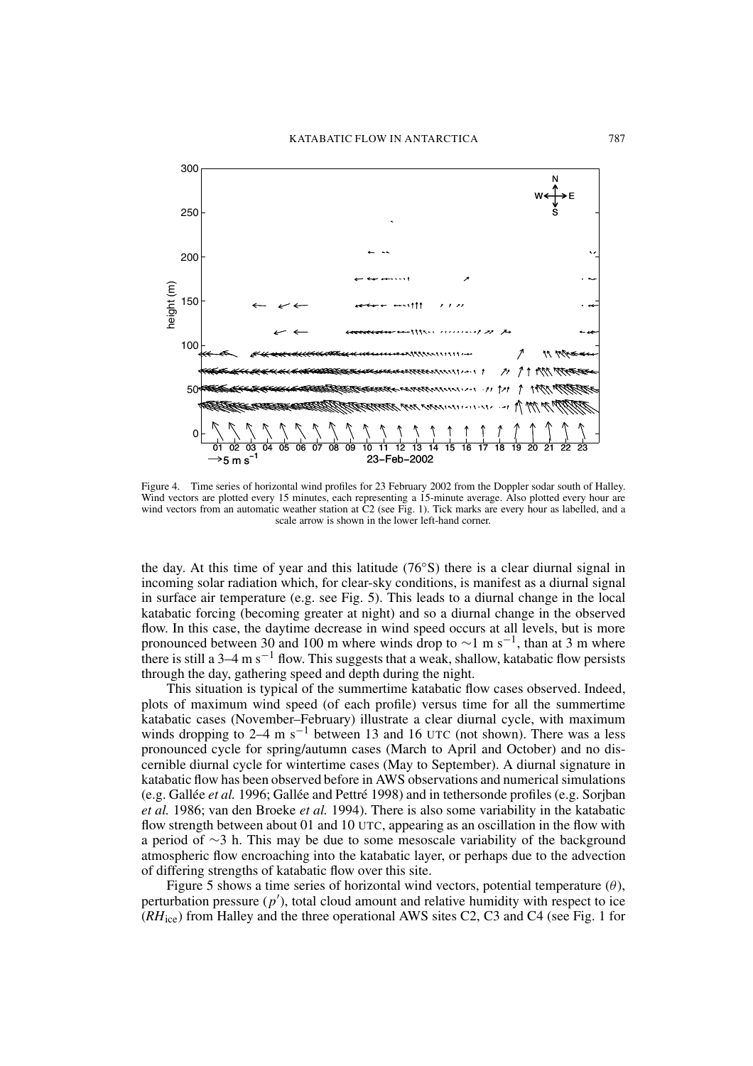

Figure 4. Time series of horizontal wind profiles for 23 February 2002 from the Doppler sodar south of Halley. Wind vectors are plotted every 15 minutes, each representing a 15-minute average. Also plotted every hour are wind vectors from an automatic weather station at C2 (see Fig. 1). Tick marks are every hour as labelled, and a scale arrow is shown in the lower left-hand corner.

the day. At this time of year and this latitude  $(76^{\circ}S)$  there is a clear diurnal signal in incoming solar radiation which, for clear-sky conditions, is manifest as a diurnal signal in surface air temperature (e.g. see Fig. 5). This leads to a diurnal change in the local katabatic forcing (becoming greater at night) and so a diurnal change in the observed flow. In this case, the daytime decrease in wind speed occurs at all levels, but is more pronounced between 30 and 100 m where winds drop to  $\sim$ 1 m s<sup>-1</sup>, than at 3 m where there is still a 3–4 m  $s^{-1}$  flow. This suggests that a weak, shallow, katabatic flow persists through the day, gathering speed and depth during the night.

This situation is typical of the summertime katabatic flow cases observed. Indeed, plots of maximum wind speed (of each profile) versus time for all the summertime katabatic cases (November-February) illustrate a clear diurnal cycle, with maximum winds dropping to 2–4 m s<sup>-1</sup> between 13 and 16 UTC (not shown). There was a less pronounced cycle for spring/autumn cases (March to April and October) and no discernible diurnal cycle for wintertime cases (May to September). A diurnal signature in katabatic flow has been observed before in AWS observations and numerical simulations (e.g. Gallée et al. 1996; Gallée and Pettré 1998) and in tethersonde profiles (e.g. Sorjban et al. 1986; van den Broeke et al. 1994). There is also some variability in the katabatic flow strength between about 01 and 10 UTC, appearing as an oscillation in the flow with a period of  $\sim$ 3 h. This may be due to some mesoscale variability of the background atmospheric flow encroaching into the katabatic layer, or perhaps due to the advection of differing strengths of katabatic flow over this site.

Figure 5 shows a time series of horizontal wind vectors, potential temperature  $(\theta)$ , perturbation pressure  $(p')$ , total cloud amount and relative humidity with respect to ice  $(RH_{\text{ice}})$  from Halley and the three operational AWS sites C2, C3 and C4 (see Fig. 1 for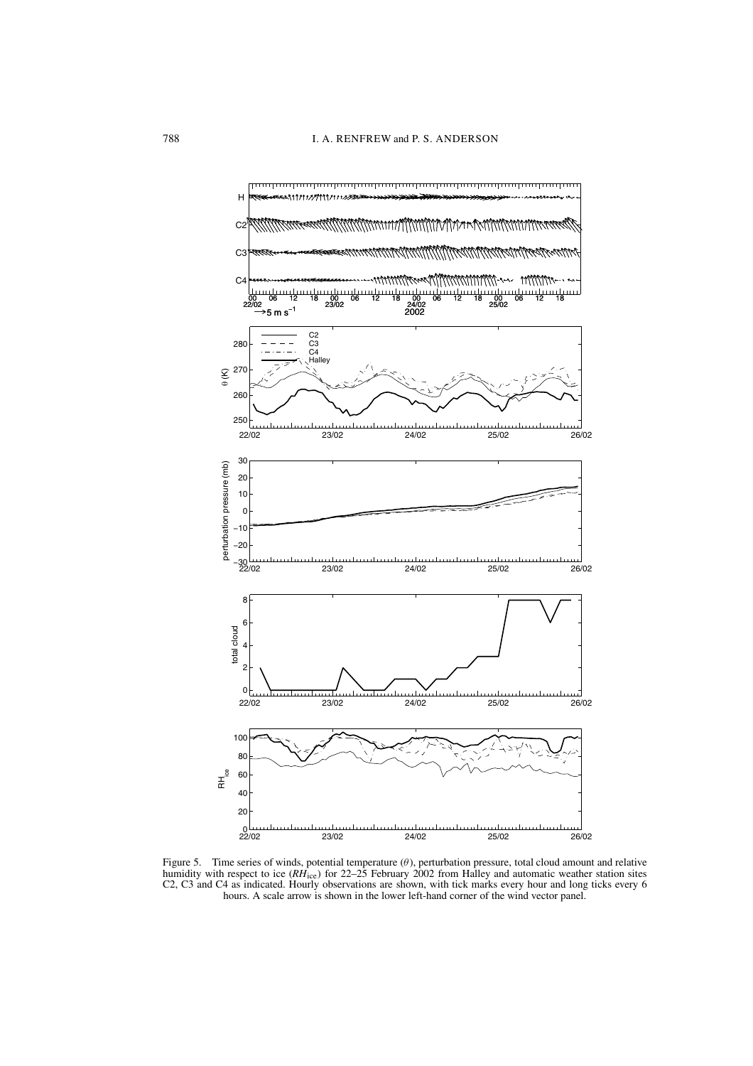

Figure 5. Time series of winds, potential temperature  $(\theta)$ , perturbation pressure, total cloud amount and relative humidity with respect to ice ( $RH_{\text{ice}}$ ) for 22-25 February 2002 from Halley and automatic weather station sites C2, C3 and C4 as indicated. Hourly observations are shown, with tick marks every hour and long ticks every 6 hours. A scale arrow is shown in the lower left-hand corner of the wind vector panel.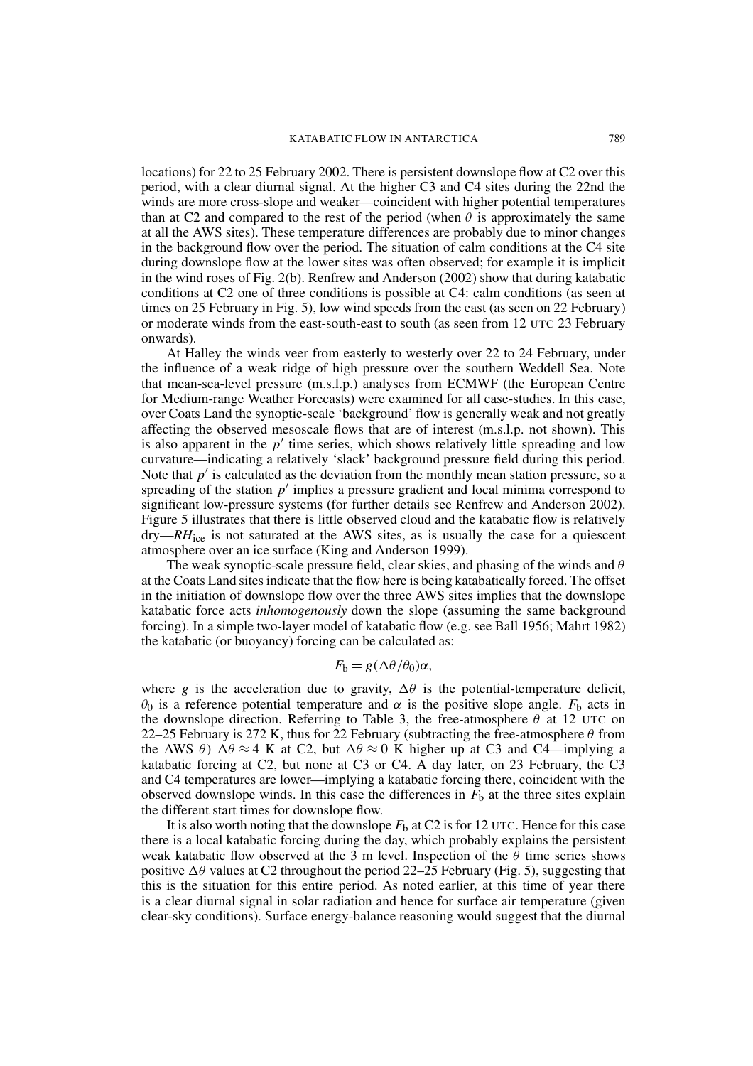locations) for 22 to 25 February 2002. There is persistent downslope flow at C2 over this period, with a clear diurnal signal. At the higher C3 and C4 sites during the 22nd the winds are more cross-slope and weaker—coincident with higher potential temperatures than at C2 and compared to the rest of the period (when  $\theta$  is approximately the same at all the AWS sites). These temperature differences are probably due to minor changes in the background flow over the period. The situation of calm conditions at the C4 site during downslope flow at the lower sites was often observed; for example it is implicit in the wind roses of Fig.  $2(b)$ . Renfrew and Anderson (2002) show that during katabatic conditions at C2 one of three conditions is possible at C4: calm conditions (as seen at times on 25 February in Fig. 5), low wind speeds from the east (as seen on 22 February) or moderate winds from the east-south-east to south (as seen from 12 UTC 23 February onwards).

At Halley the winds veer from easterly to westerly over 22 to 24 February, under the influence of a weak ridge of high pressure over the southern Weddell Sea. Note that mean-sea-level pressure (m.s.l.p.) analyses from ECMWF (the European Centre for Medium-range Weather Forecasts) were examined for all case-studies. In this case, over Coats Land the synoptic-scale 'background' flow is generally weak and not greatly affecting the observed mesoscale flows that are of interest (m.s.l.p. not shown). This is also apparent in the  $p'$  time series, which shows relatively little spreading and low curvature—indicating a relatively 'slack' background pressure field during this period. Note that  $p'$  is calculated as the deviation from the monthly mean station pressure, so a spreading of the station  $p'$  implies a pressure gradient and local minima correspond to significant low-pressure systems (for further details see Renfrew and Anderson 2002). Figure 5 illustrates that there is little observed cloud and the katabatic flow is relatively  $\frac{dy}{dx}$  dry— $RH_{ice}$  is not saturated at the AWS sites, as is usually the case for a quiescent atmosphere over an ice surface (King and Anderson 1999).

The weak synoptic-scale pressure field, clear skies, and phasing of the winds and  $\theta$ at the Coats Land sites indicate that the flow here is being katabatically forced. The offset in the initiation of downslope flow over the three AWS sites implies that the downslope katabatic force acts *inhomogenously* down the slope (assuming the same background forcing). In a simple two-layer model of katabatic flow (e.g. see Ball 1956; Mahrt 1982) the katabatic (or buoyancy) forcing can be calculated as:

$$
F_{\mathbf{b}} = g(\Delta \theta / \theta_0) \alpha,
$$

where g is the acceleration due to gravity,  $\Delta\theta$  is the potential-temperature deficit,  $\theta_0$  is a reference potential temperature and  $\alpha$  is the positive slope angle.  $F_h$  acts in the downslope direction. Referring to Table 3, the free-atmosphere  $\theta$  at 12 UTC on 22–25 February is 272 K, thus for 22 February (subtracting the free-atmosphere  $\theta$  from the AWS  $\theta$ )  $\Delta \theta \approx 4$  K at C2, but  $\Delta \theta \approx 0$  K higher up at C3 and C4—implying a katabatic forcing at C2, but none at C3 or C4. A day later, on 23 February, the C3 and C4 temperatures are lower—implying a katabatic forcing there, coincident with the observed downslope winds. In this case the differences in  $F<sub>b</sub>$  at the three sites explain the different start times for downslope flow.

It is also worth noting that the downslope  $F<sub>b</sub>$  at C2 is for 12 UTC. Hence for this case there is a local katabatic forcing during the day, which probably explains the persistent weak katabatic flow observed at the 3 m level. Inspection of the  $\theta$  time series shows positive  $\Delta\theta$  values at C2 throughout the period 22–25 February (Fig. 5), suggesting that this is the situation for this entire period. As noted earlier, at this time of year there is a clear diurnal signal in solar radiation and hence for surface air temperature (given clear-sky conditions). Surface energy-balance reasoning would suggest that the diurnal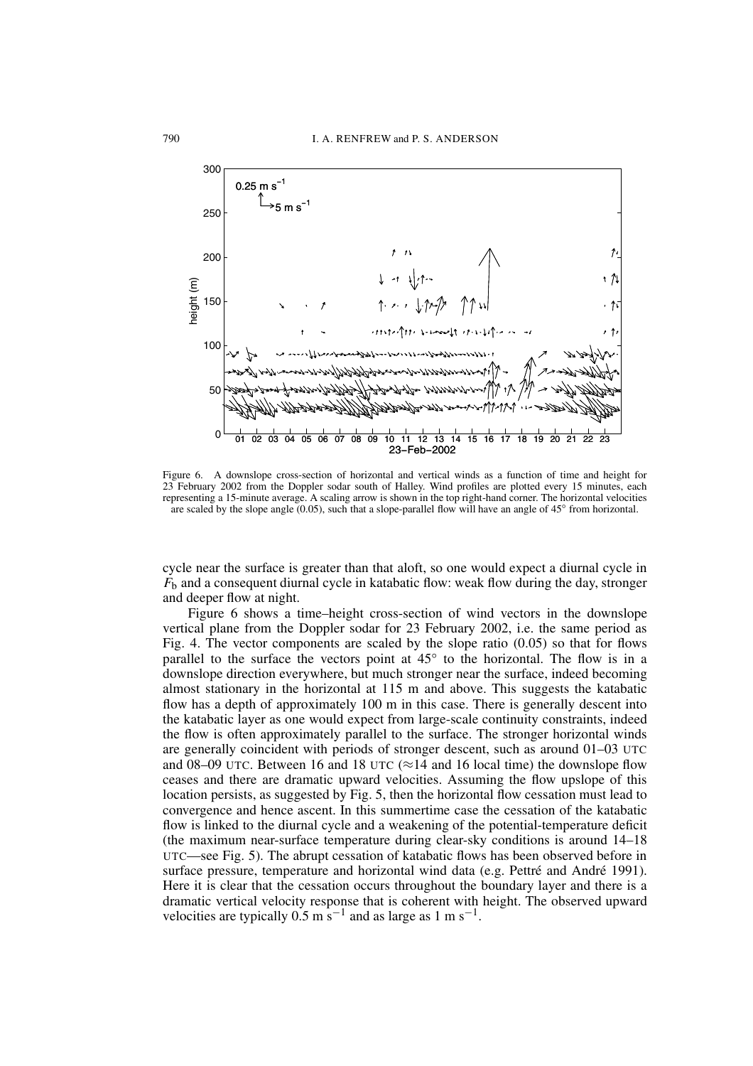

Figure 6. A downslope cross-section of horizontal and vertical winds as a function of time and height for 23 February 2002 from the Doppler sodar south of Halley. Wind profiles are plotted every 15 minutes, each representing a 15-minute average. A scaling arrow is shown in the top right-hand corner. The horizontal velocities are scaled by the slope angle  $(0.05)$ , such that a slope-parallel flow will have an angle of  $45^{\circ}$  from horizontal.

cycle near the surface is greater than that aloft, so one would expect a diurnal cycle in  $F<sub>b</sub>$  and a consequent diurnal cycle in katabatic flow: weak flow during the day, stronger and deeper flow at night.

Figure 6 shows a time-height cross-section of wind vectors in the downslope vertical plane from the Doppler sodar for 23 February 2002, *i.e.* the same period as Fig. 4. The vector components are scaled by the slope ratio  $(0.05)$  so that for flows parallel to the surface the vectors point at 45° to the horizontal. The flow is in a downslope direction everywhere, but much stronger near the surface, indeed becoming almost stationary in the horizontal at 115 m and above. This suggests the katabatic flow has a depth of approximately 100 m in this case. There is generally descent into the katabatic layer as one would expect from large-scale continuity constraints, indeed the flow is often approximately parallel to the surface. The stronger horizontal winds are generally coincident with periods of stronger descent, such as around 01-03 UTC and 08–09 UTC. Between 16 and 18 UTC ( $\approx$ 14 and 16 local time) the downslope flow ceases and there are dramatic upward velocities. Assuming the flow upslope of this location persists, as suggested by Fig. 5, then the horizontal flow cessation must lead to convergence and hence ascent. In this summertime case the cessation of the katabatic flow is linked to the diurnal cycle and a weakening of the potential-temperature deficit (the maximum near-surface temperature during clear-sky conditions is around 14–18 UTC—see Fig. 5). The abrupt cessation of katabatic flows has been observed before in surface pressure, temperature and horizontal wind data (e.g. Pettré and André 1991). Here it is clear that the cessation occurs throughout the boundary layer and there is a dramatic vertical velocity response that is coherent with height. The observed upward velocities are typically 0.5 m s<sup>-1</sup> and as large as 1 m s<sup>-1</sup>.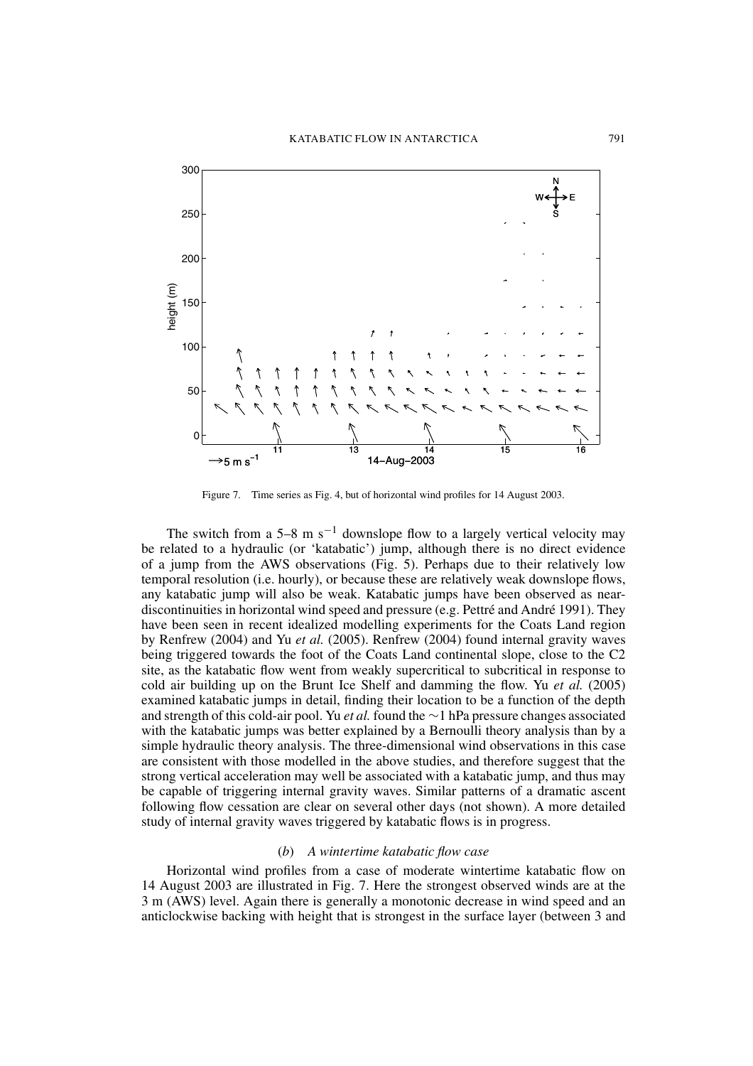

Figure 7. Time series as Fig. 4, but of horizontal wind profiles for 14 August 2003.

The switch from a 5–8 m  $s^{-1}$  downslope flow to a largely vertical velocity may be related to a hydraulic (or 'katabatic') jump, although there is no direct evidence of a jump from the AWS observations (Fig. 5). Perhaps due to their relatively low temporal resolution (i.e. hourly), or because these are relatively weak downslope flows, any katabatic jump will also be weak. Katabatic jumps have been observed as neardiscontinuities in horizontal wind speed and pressure (e.g. Pettré and André 1991). They have been seen in recent idealized modelling experiments for the Coats Land region by Renfrew (2004) and Yu et al. (2005). Renfrew (2004) found internal gravity waves being triggered towards the foot of the Coats Land continental slope, close to the C2 site, as the katabatic flow went from weakly supercritical to subcritical in response to cold air building up on the Brunt Ice Shelf and damming the flow. Yu et al.  $(2005)$ examined katabatic jumps in detail, finding their location to be a function of the depth and strength of this cold-air pool. Yu et al. found the  $\sim$ 1 hPa pressure changes associated with the katabatic jumps was better explained by a Bernoulli theory analysis than by a simple hydraulic theory analysis. The three-dimensional wind observations in this case are consistent with those modelled in the above studies, and therefore suggest that the strong vertical acceleration may well be associated with a katabatic jump, and thus may be capable of triggering internal gravity waves. Similar patterns of a dramatic ascent following flow cessation are clear on several other days (not shown). A more detailed study of internal gravity waves triggered by katabatic flows is in progress.

# $(b)$  A wintertime katabatic flow case

Horizontal wind profiles from a case of moderate wintertime katabatic flow on 14 August 2003 are illustrated in Fig. 7. Here the strongest observed winds are at the 3 m (AWS) level. Again there is generally a monotonic decrease in wind speed and an anticlockwise backing with height that is strongest in the surface layer (between 3 and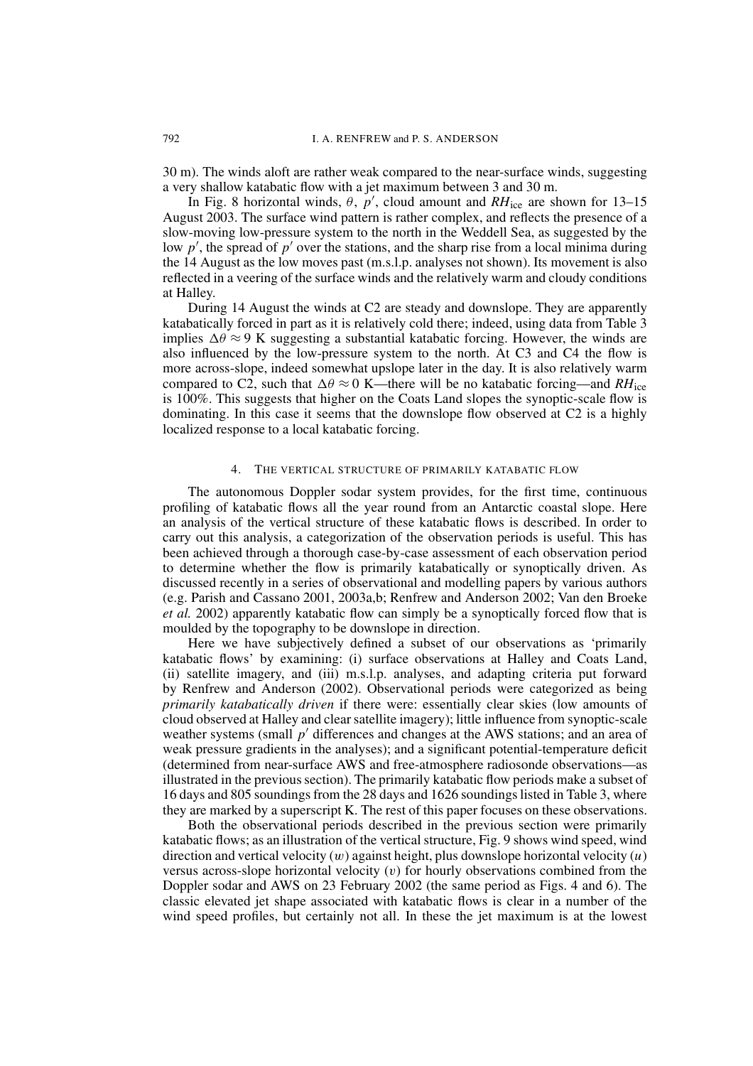30 m). The winds aloft are rather weak compared to the near-surface winds, suggesting a very shallow katabatic flow with a jet maximum between 3 and 30 m.

In Fig. 8 horizontal winds,  $\theta$ ,  $p'$ , cloud amount and RH<sub>ice</sub> are shown for 13–15 August 2003. The surface wind pattern is rather complex, and reflects the presence of a slow-moving low-pressure system to the north in the Weddell Sea, as suggested by the low p', the spread of p' over the stations, and the sharp rise from a local minima during the 14 August as the low moves past (m.s.l.p. analyses not shown). Its movement is also reflected in a veering of the surface winds and the relatively warm and cloudy conditions at Halley.

During 14 August the winds at C2 are steady and downslope. They are apparently katabatically forced in part as it is relatively cold there; indeed, using data from Table 3 implies  $\Delta \theta \approx 9$  K suggesting a substantial katabatic forcing. However, the winds are also influenced by the low-pressure system to the north. At C3 and C4 the flow is more across-slope, indeed somewhat upslope later in the day. It is also relatively warm compared to C2, such that  $\Delta \theta \approx 0$  K—there will be no katabatic forcing—and RH<sub>ice</sub> is  $100\%$ . This suggests that higher on the Coats Land slopes the synoptic-scale flow is dominating. In this case it seems that the downslope flow observed at C2 is a highly localized response to a local katabatic forcing.

#### $\overline{4}$ . THE VERTICAL STRUCTURE OF PRIMARILY KATABATIC FLOW

The autonomous Doppler sodar system provides, for the first time, continuous profiling of katabatic flows all the year round from an Antarctic coastal slope. Here an analysis of the vertical structure of these katabatic flows is described. In order to carry out this analysis, a categorization of the observation periods is useful. This has been achieved through a thorough case-by-case assessment of each observation period to determine whether the flow is primarily katabatically or synoptically driven. As discussed recently in a series of observational and modelling papers by various authors (e.g. Parish and Cassano 2001, 2003a,b; Renfrew and Anderson 2002; Van den Broeke *et al.* 2002) apparently katabatic flow can simply be a synoptically forced flow that is moulded by the topography to be downslope in direction.

Here we have subjectively defined a subset of our observations as 'primarily katabatic flows' by examining: (i) surface observations at Halley and Coats Land, (ii) satellite imagery, and (iii) m.s.l.p. analyses, and adapting criteria put forward by Renfrew and Anderson (2002). Observational periods were categorized as being primarily katabatically driven if there were: essentially clear skies (low amounts of cloud observed at Halley and clear satellite imagery); little influence from synoptic-scale weather systems (small  $p'$  differences and changes at the AWS stations; and an area of weak pressure gradients in the analyses); and a significant potential-temperature deficit (determined from near-surface AWS and free-atmosphere radiosonde observations—as illustrated in the previous section). The primarily katabatic flow periods make a subset of 16 days and 805 soundings from the 28 days and 1626 soundings listed in Table 3, where they are marked by a superscript K. The rest of this paper focuses on these observations.

Both the observational periods described in the previous section were primarily katabatic flows; as an illustration of the vertical structure, Fig. 9 shows wind speed, wind direction and vertical velocity  $(w)$  against height, plus downslope horizontal velocity  $(u)$ versus across-slope horizontal velocity  $(v)$  for hourly observations combined from the Doppler sodar and AWS on 23 February 2002 (the same period as Figs. 4 and 6). The classic elevated jet shape associated with katabatic flows is clear in a number of the wind speed profiles, but certainly not all. In these the jet maximum is at the lowest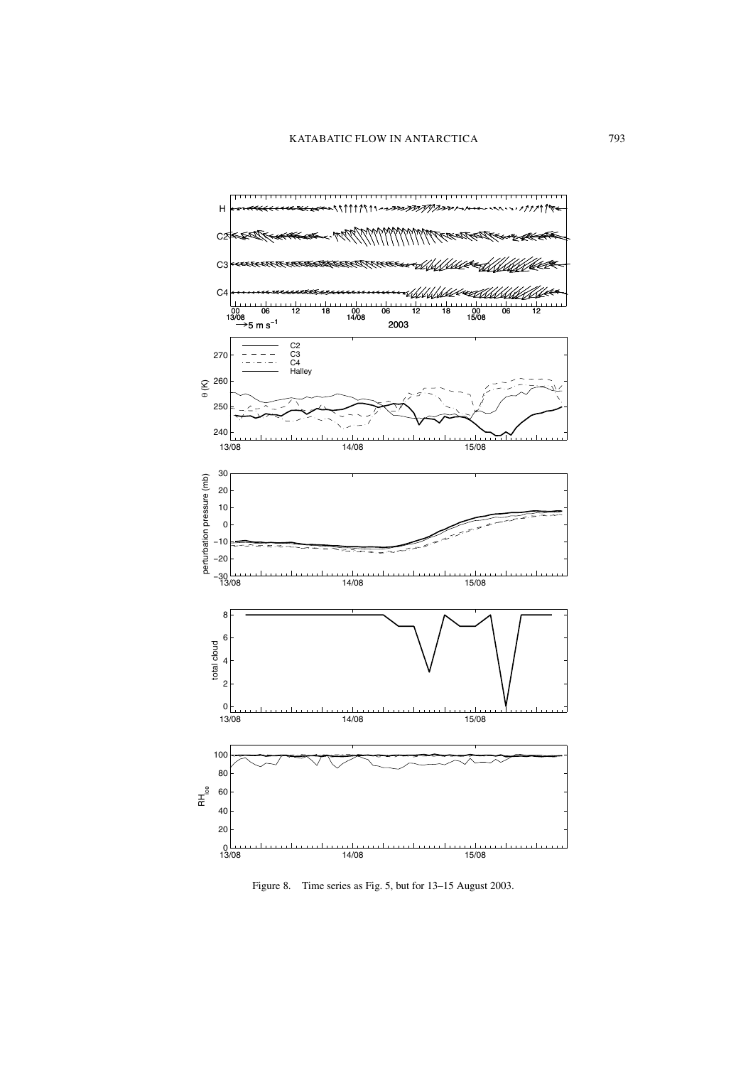

Figure 8. Time series as Fig. 5, but for 13-15 August 2003.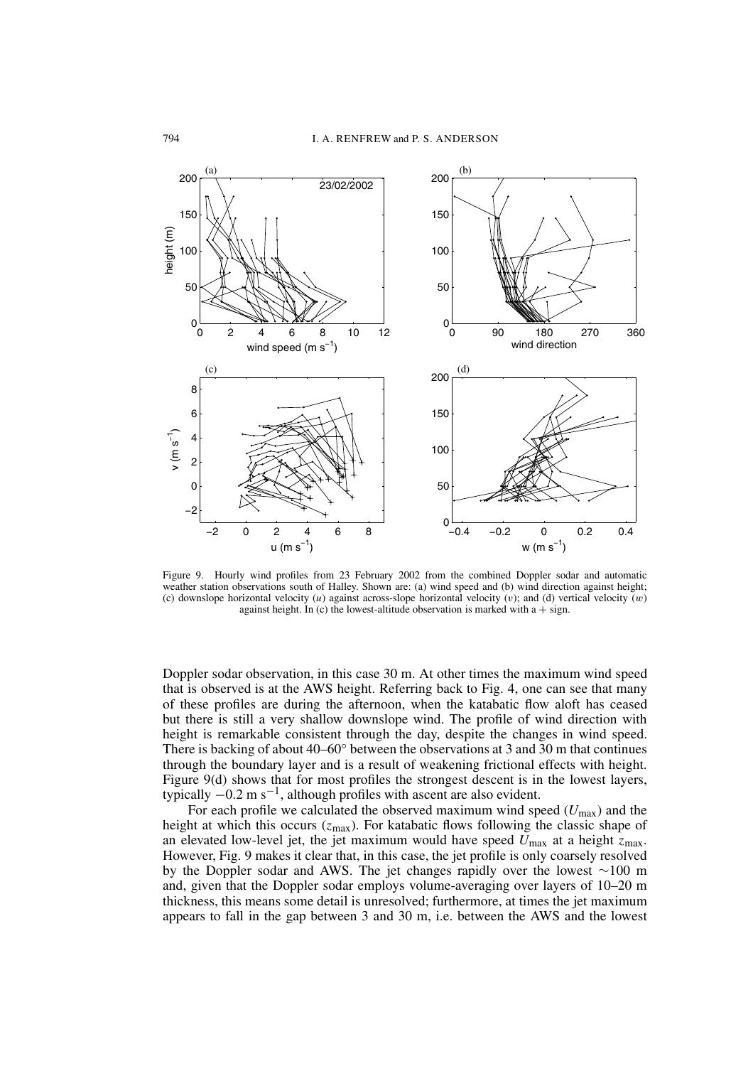

Figure 9. Hourly wind profiles from 23 February 2002 from the combined Doppler sodar and automatic weather station observations south of Halley. Shown are: (a) wind speed and (b) wind direction against height; (c) downslope horizontal velocity (u) against across-slope horizontal velocity (v); and (d) vertical velocity  $(w)$ against height. In (c) the lowest-altitude observation is marked with  $a + sign$ .

Doppler sodar observation, in this case 30 m. At other times the maximum wind speed that is observed is at the AWS height. Referring back to Fig. 4, one can see that many of these profiles are during the afternoon, when the katabatic flow aloft has ceased but there is still a very shallow downslope wind. The profile of wind direction with height is remarkable consistent through the day, despite the changes in wind speed. There is backing of about  $40-60^{\circ}$  between the observations at 3 and 30 m that continues through the boundary layer and is a result of weakening frictional effects with height. Figure 9(d) shows that for most profiles the strongest descent is in the lowest layers, typically  $-0.2$  m s<sup>-1</sup>, although profiles with ascent are also evident.

For each profile we calculated the observed maximum wind speed  $(U_{\text{max}})$  and the height at which this occurs  $(z_{\text{max}})$ . For katabatic flows following the classic shape of an elevated low-level jet, the jet maximum would have speed  $U_{\text{max}}$  at a height  $z_{\text{max}}$ . However, Fig. 9 makes it clear that, in this case, the jet profile is only coarsely resolved by the Doppler sodar and AWS. The jet changes rapidly over the lowest  $\sim$ 100 m and, given that the Doppler sodar employs volume-averaging over layers of 10–20 m thickness, this means some detail is unresolved; furthermore, at times the jet maximum appears to fall in the gap between 3 and 30 m, i.e. between the AWS and the lowest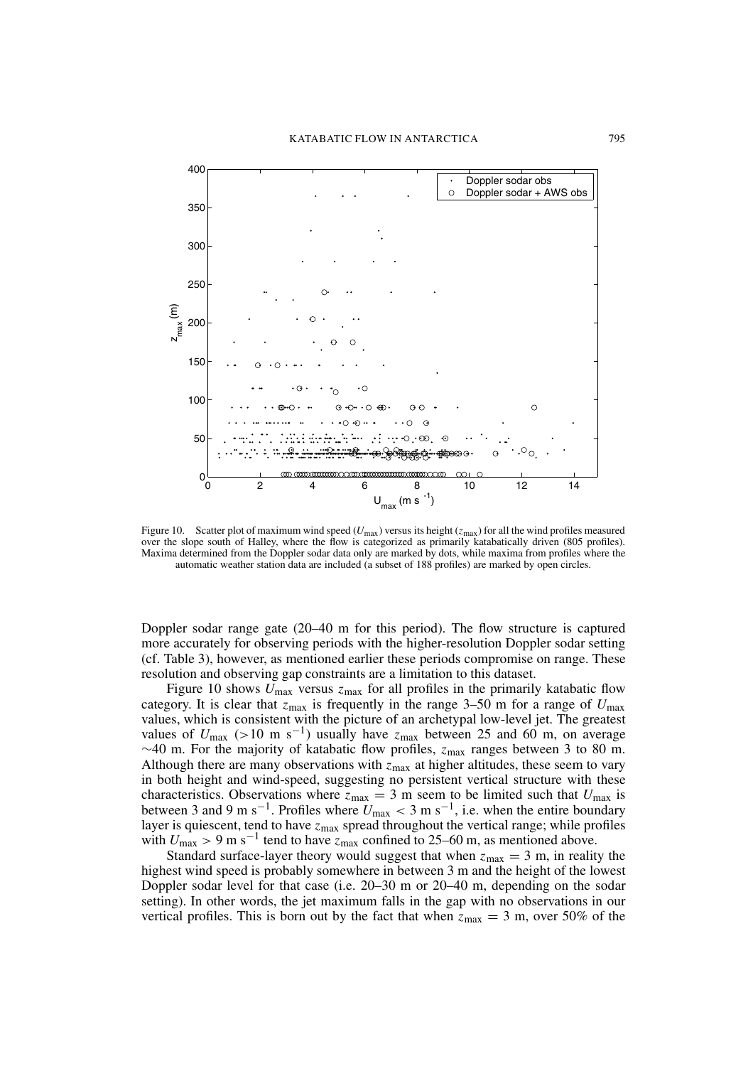

Figure 10. Scatter plot of maximum wind speed  $(U_{\text{max}})$  versus its height  $(z_{\text{max}})$  for all the wind profiles measured over the slope south of Halley, where the flow is categorized as primarily katabatically driven (805 profiles). Maxima determined from the Doppler sodar data only are marked by dots, while maxima from profiles where the automatic weather station data are included (a subset of 188 profiles) are marked by open circles.

Doppler sodar range gate  $(20-40 \text{ m}$  for this period). The flow structure is captured more accurately for observing periods with the higher-resolution Doppler sodar setting (cf. Table 3), however, as mentioned earlier these periods compromise on range. These resolution and observing gap constraints are a limitation to this dataset.

Figure 10 shows  $U_{\text{max}}$  versus  $z_{\text{max}}$  for all profiles in the primarily katabatic flow category. It is clear that  $z_{\text{max}}$  is frequently in the range 3–50 m for a range of  $U_{\text{max}}$ values, which is consistent with the picture of an archetypal low-level jet. The greatest values of  $U_{\text{max}}$  (>10 m s<sup>-1</sup>) usually have  $z_{\text{max}}$  between 25 and 60 m, on average  $\sim$ 40 m. For the majority of katabatic flow profiles,  $z_{\text{max}}$  ranges between 3 to 80 m. Although there are many observations with  $\bar{z}_{\text{max}}$  at higher altitudes, these seem to vary in both height and wind-speed, suggesting no persistent vertical structure with these characteristics. Observations where  $z_{\text{max}} = 3$  m seem to be limited such that  $U_{\text{max}}$  is between 3 and 9 m s<sup>-1</sup>. Profiles where  $U_{\text{max}} < 3$  m s<sup>-1</sup>, i.e. when the entire boundary layer is quiescent, tend to have  $z_{\text{max}}$  spread throughout the vertical range; while profiles with  $U_{\text{max}} > 9$  m s<sup>-1</sup> tend to have  $z_{\text{max}}$  confined to 25–60 m, as mentioned above.

Standard surface-layer theory would suggest that when  $z_{\text{max}} = 3$  m, in reality the highest wind speed is probably somewhere in between 3 m and the height of the lowest Doppler sodar level for that case (i.e. 20–30 m or 20–40 m, depending on the sodar setting). In other words, the jet maximum falls in the gap with no observations in our vertical profiles. This is born out by the fact that when  $z_{\text{max}} = 3$  m, over 50% of the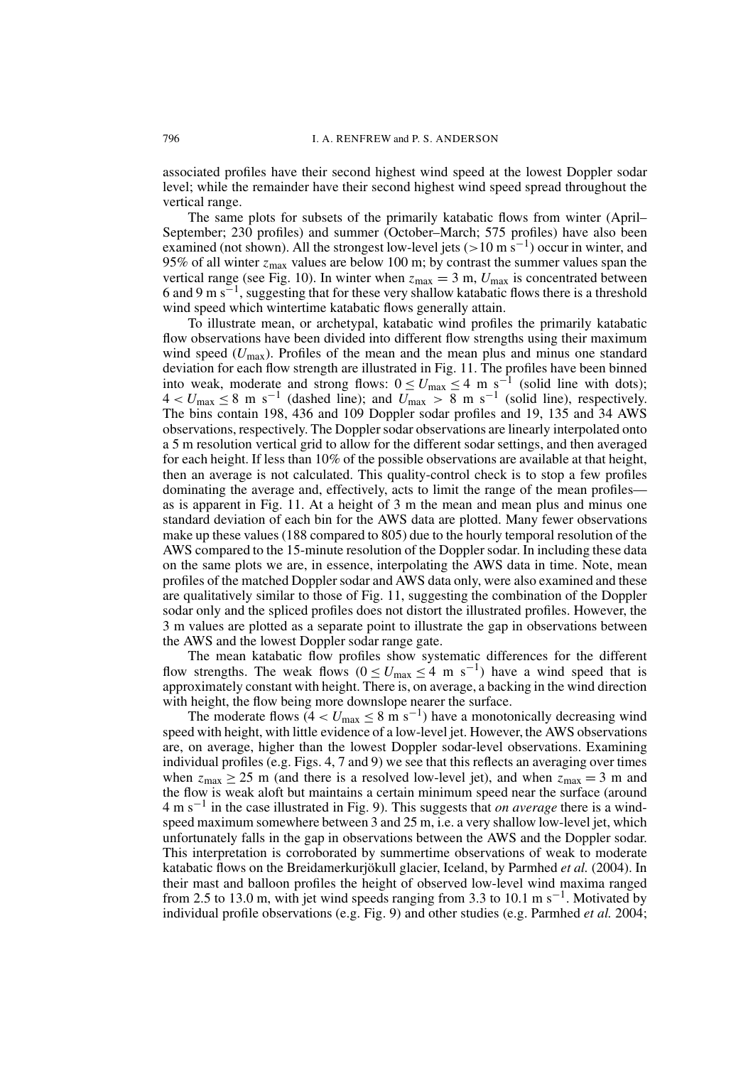associated profiles have their second highest wind speed at the lowest Doppler sodar level; while the remainder have their second highest wind speed spread throughout the vertical range.

The same plots for subsets of the primarily katabatic flows from winter (April-September; 230 profiles) and summer (October–March; 575 profiles) have also been examined (not shown). All the strongest low-level jets ( $> 10 \text{ m s}^{-1}$ ) occur in winter, and 95% of all winter  $z_{\text{max}}$  values are below 100 m; by contrast the summer values span the vertical range (see Fig. 10). In winter when  $z_{\text{max}} = 3$  m,  $U_{\text{max}}$  is concentrated between 6 and 9 m  $s^{-1}$ , suggesting that for these very shallow katabatic flows there is a threshold wind speed which wintertime katabatic flows generally attain.

To illustrate mean, or archetypal, katabatic wind profiles the primarily katabatic flow observations have been divided into different flow strengths using their maximum wind speed  $(U_{\text{max}})$ . Profiles of the mean and the mean plus and minus one standard deviation for each flow strength are illustrated in Fig. 11. The profiles have been binned into weak, moderate and strong flows:  $0 \le U_{\text{max}} \le 4$  m s<sup>-1</sup> (solid line with dots);<br> $4 < U_{\text{max}} \le 8$  m s<sup>-1</sup> (dashed line); and  $U_{\text{max}} > 8$  m s<sup>-1</sup> (solid line), respectively. The bins contain 198, 436 and 109 Doppler sodar profiles and 19, 135 and 34 AWS observations, respectively. The Doppler sodar observations are linearly interpolated onto a 5 m resolution vertical grid to allow for the different sodar settings, and then averaged for each height. If less than 10% of the possible observations are available at that height, then an average is not calculated. This quality-control check is to stop a few profiles dominating the average and, effectively, acts to limit the range of the mean profiles as is apparent in Fig. 11. At a height of 3 m the mean and mean plus and minus one standard deviation of each bin for the AWS data are plotted. Many fewer observations make up these values (188 compared to 805) due to the hourly temporal resolution of the AWS compared to the 15-minute resolution of the Doppler sodar. In including these data on the same plots we are, in essence, interpolating the AWS data in time. Note, mean profiles of the matched Doppler sodar and AWS data only, were also examined and these are qualitatively similar to those of Fig. 11, suggesting the combination of the Doppler sodar only and the spliced profiles does not distort the illustrated profiles. However, the 3 m values are plotted as a separate point to illustrate the gap in observations between the AWS and the lowest Doppler sodar range gate.

The mean katabatic flow profiles show systematic differences for the different flow strengths. The weak flows  $(0 \le U_{\text{max}} \le 4 \text{ m s}^{-1})$  have a wind speed that is approximately constant with height. There is, on average, a backing in the wind direction with height, the flow being more downslope nearer the surface.

The moderate flows  $(4 < U_{\text{max}} \le 8 \text{ m s}^{-1})$  have a monotonically decreasing wind speed with height, with little evidence of a low-level jet. However, the AWS observations are, on average, higher than the lowest Doppler sodar-level observations. Examining individual profiles (e.g. Figs. 4, 7 and 9) we see that this reflects an averaging over times when  $z_{\text{max}} \ge 25$  m (and there is a resolved low-level jet), and when  $z_{\text{max}} = 3$  m and the flow is weak aloft but maintains a certain minimum speed near the surface (around  $4 \text{ m s}^{-1}$  in the case illustrated in Fig. 9). This suggests that *on average* there is a windspeed maximum somewhere between 3 and 25 m, i.e. a very shallow low-level jet, which unfortunately falls in the gap in observations between the AWS and the Doppler sodar. This interpretation is corroborated by summertime observations of weak to moderate katabatic flows on the Breidamerkurjökull glacier, Iceland, by Parmhed et al. (2004). In their mast and balloon profiles the height of observed low-level wind maxima ranged from 2.5 to 13.0 m, with jet wind speeds ranging from 3.3 to 10.1 m s<sup>-1</sup>. Motivated by individual profile observations (e.g. Fig. 9) and other studies (e.g. Parmhed *et al.* 2004;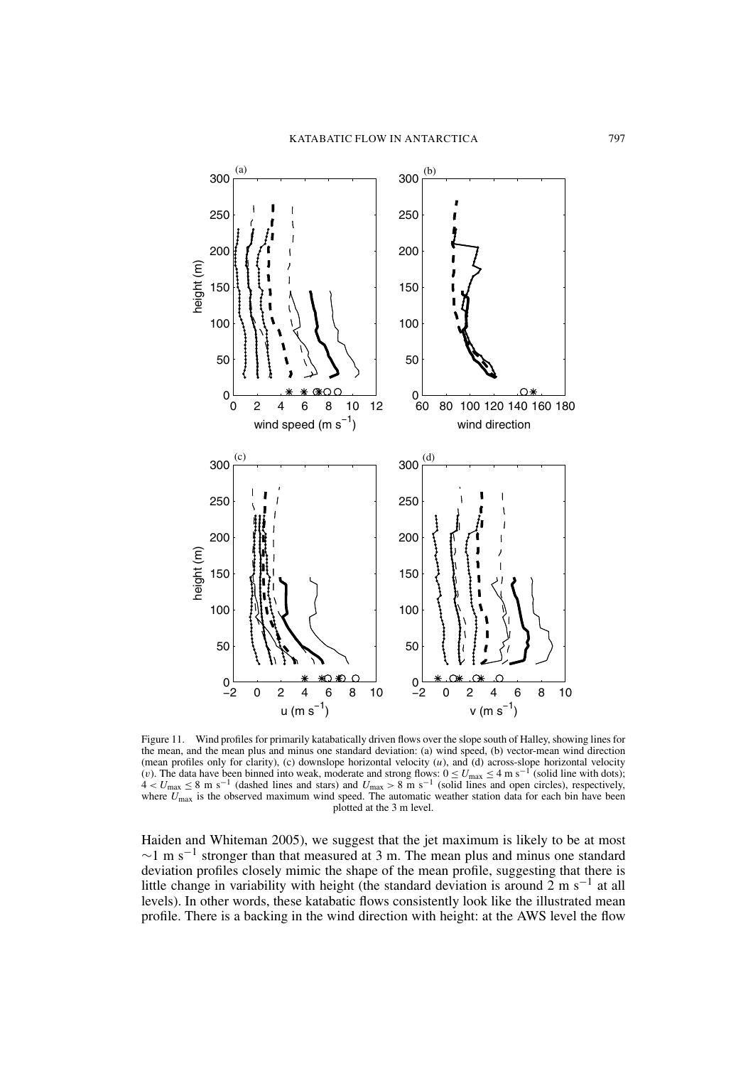

Wind profiles for primarily katabatically driven flows over the slope south of Halley, showing lines for Figure 11. the mean, and the mean plus and minus one standard deviation: (a) wind speed, (b) vector-mean wind direction (mean profiles only for clarity), (c) downslope horizontal velocity (u), and (d) across-slope horizontal velocity (v). The data have been binned into weak, moderate and strong flows:  $0 \le U_{\text{max}} \le 4$  m s<sup>-1</sup> (solid line w plotted at the 3 m level.

Haiden and Whiteman 2005), we suggest that the jet maximum is likely to be at most  $\sim$ 1 m s<sup>-1</sup> stronger than that measured at 3 m. The mean plus and minus one standard deviation profiles closely mimic the shape of the mean profile, suggesting that there is little change in variability with height (the standard deviation is around 2 m  $s^{-1}$  at all levels). In other words, these katabatic flows consistently look like the illustrated mean profile. There is a backing in the wind direction with height: at the AWS level the flow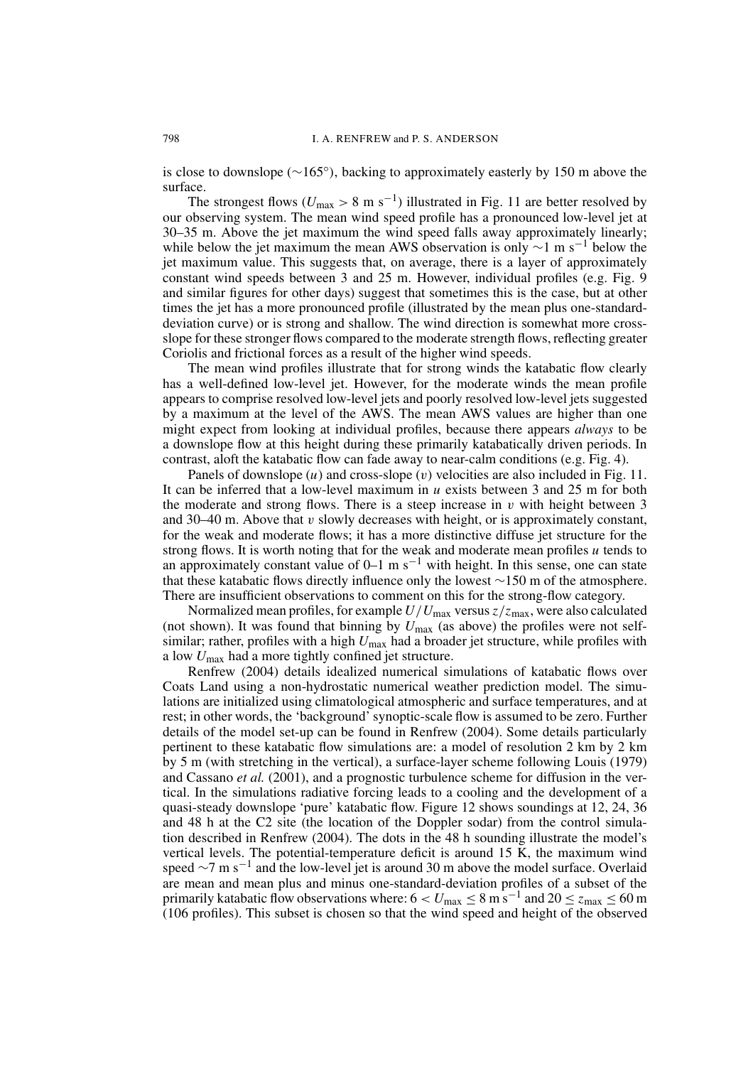is close to downslope ( $\sim$ 165 $^{\circ}$ ), backing to approximately easterly by 150 m above the surface.

The strongest flows ( $U_{\text{max}} > 8 \text{ m s}^{-1}$ ) illustrated in Fig. 11 are better resolved by our observing system. The mean wind speed profile has a pronounced low-level jet at 30–35 m. Above the jet maximum the wind speed falls away approximately linearly; while below the jet maximum the mean AWS observation is only  $\sim$ 1 m s<sup>-1</sup> below the jet maximum value. This suggests that, on average, there is a layer of approximately constant wind speeds between 3 and 25 m. However, individual profiles (e.g. Fig. 9) and similar figures for other days) suggest that sometimes this is the case, but at other times the jet has a more pronounced profile (illustrated by the mean plus one-standarddeviation curve) or is strong and shallow. The wind direction is somewhat more crossslope for these stronger flows compared to the moderate strength flows, reflecting greater Coriolis and frictional forces as a result of the higher wind speeds.

The mean wind profiles illustrate that for strong winds the katabatic flow clearly has a well-defined low-level jet. However, for the moderate winds the mean profile appears to comprise resolved low-level jets and poorly resolved low-level jets suggested by a maximum at the level of the AWS. The mean AWS values are higher than one might expect from looking at individual profiles, because there appears *always* to be a downslope flow at this height during these primarily katabatically driven periods. In contrast, aloft the katabatic flow can fade away to near-calm conditions (e.g. Fig. 4).

Panels of downslope  $(u)$  and cross-slope  $(v)$  velocities are also included in Fig. 11. It can be inferred that a low-level maximum in  $u$  exists between 3 and 25 m for both the moderate and strong flows. There is a steep increase in  $v$  with height between 3 and 30–40 m. Above that  $v$  slowly decreases with height, or is approximately constant, for the weak and moderate flows; it has a more distinctive diffuse jet structure for the strong flows. It is worth noting that for the weak and moderate mean profiles u tends to an approximately constant value of  $0-1$  m s<sup>-1</sup> with height. In this sense, one can state that these katabatic flows directly influence only the lowest  $\sim$ 150 m of the atmosphere. There are insufficient observations to comment on this for the strong-flow category.

Normalized mean profiles, for example  $U/U_{\text{max}}$  versus  $z/z_{\text{max}}$ , were also calculated (not shown). It was found that binning by  $U_{\text{max}}$  (as above) the profiles were not selfsimilar; rather, profiles with a high  $U_{\text{max}}$  had a broader jet structure, while profiles with a low  $U_{\text{max}}$  had a more tightly confined jet structure.

Renfrew (2004) details idealized numerical simulations of katabatic flows over Coats Land using a non-hydrostatic numerical weather prediction model. The simulations are initialized using climatological atmospheric and surface temperatures, and at rest; in other words, the 'background' synoptic-scale flow is assumed to be zero. Further details of the model set-up can be found in Renfrew (2004). Some details particularly pertinent to these katabatic flow simulations are: a model of resolution 2 km by 2 km by 5 m (with stretching in the vertical), a surface-layer scheme following Louis (1979) and Cassano et al. (2001), and a prognostic turbulence scheme for diffusion in the vertical. In the simulations radiative forcing leads to a cooling and the development of a quasi-steady downslope 'pure' katabatic flow. Figure 12 shows soundings at 12, 24, 36 and 48 h at the C2 site (the location of the Doppler sodar) from the control simulation described in Renfrew (2004). The dots in the 48 h sounding illustrate the model's vertical levels. The potential-temperature deficit is around  $15\ \text{K}$ , the maximum wind speed  $\sim$ 7 m s<sup>-1</sup> and the low-level jet is around 30 m above the model surface. Overlaid are mean and mean plus and minus one-standard-deviation profiles of a subset of the primarily katabatic flow observations where:  $6 < U_{\text{max}} \le 8 \text{ m s}^{-1}$  and  $20 \le z_{\text{max}} \le 60 \text{ m}$ (106 profiles). This subset is chosen so that the wind speed and height of the observed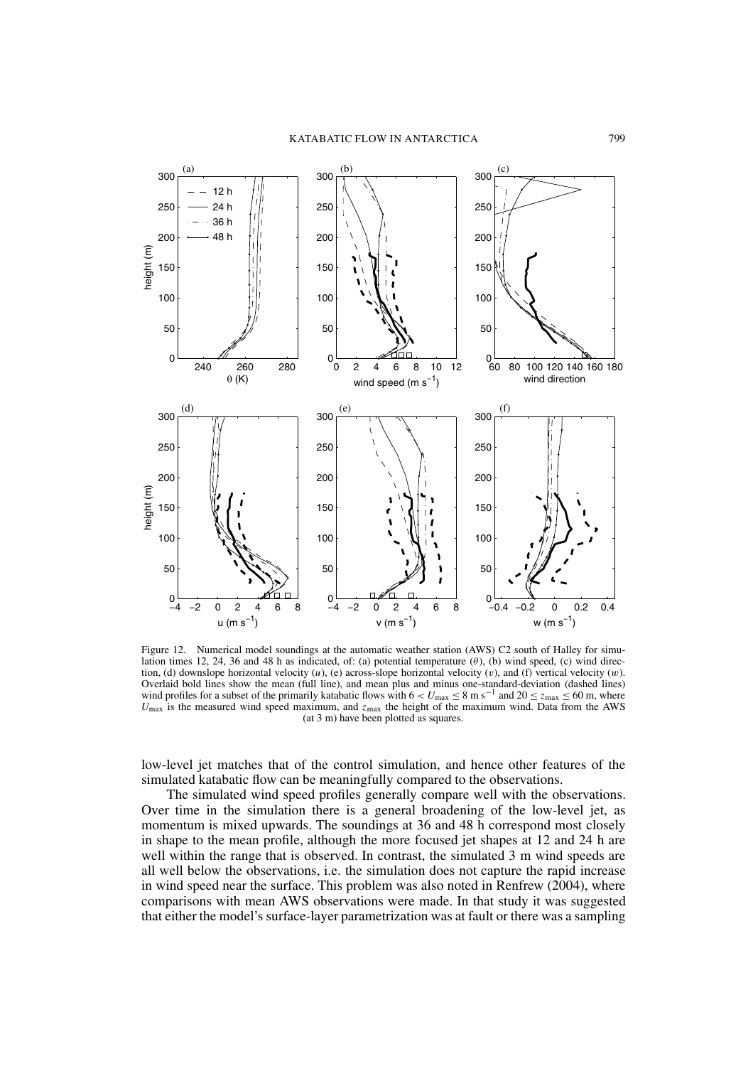

Numerical model soundings at the automatic weather station (AWS) C2 south of Halley for simu-Figure 12. lation times 12, 24, 36 and 48 h as indicated, of: (a) potential temperature  $(\theta)$ , (b) wind speed, (c) wind direction, (d) downslope horizontal velocity  $(u)$ , (e) across-slope horizontal velocity  $(v)$ , and (f) vertical velocity  $(w)$ . Overlaid bold lines show the mean (full line), and mean plus and minus one-standard-deviation (dashed lines) wind profiles for a subset of the primarily katabatic flows with  $6 < U_{\text{max}} \le 8 \text{ m s}^{-1}$  and  $20 \le z_{\text{max}} \le 60 \text{ m}$ , where  $U_{\text{max}}$  is the measured wind speed maximum, and  $z_{\text{max}}$  the height of the maximum wind. Data from the AWS (at 3 m) have been plotted as squares.

low-level jet matches that of the control simulation, and hence other features of the simulated katabatic flow can be meaningfully compared to the observations.

The simulated wind speed profiles generally compare well with the observations. Over time in the simulation there is a general broadening of the low-level jet, as momentum is mixed upwards. The soundings at 36 and 48 h correspond most closely in shape to the mean profile, although the more focused jet shapes at 12 and 24 h are well within the range that is observed. In contrast, the simulated 3 m wind speeds are all well below the observations, i.e. the simulation does not capture the rapid increase in wind speed near the surface. This problem was also noted in Renfrew (2004), where comparisons with mean AWS observations were made. In that study it was suggested that either the model's surface-layer parametrization was at fault or there was a sampling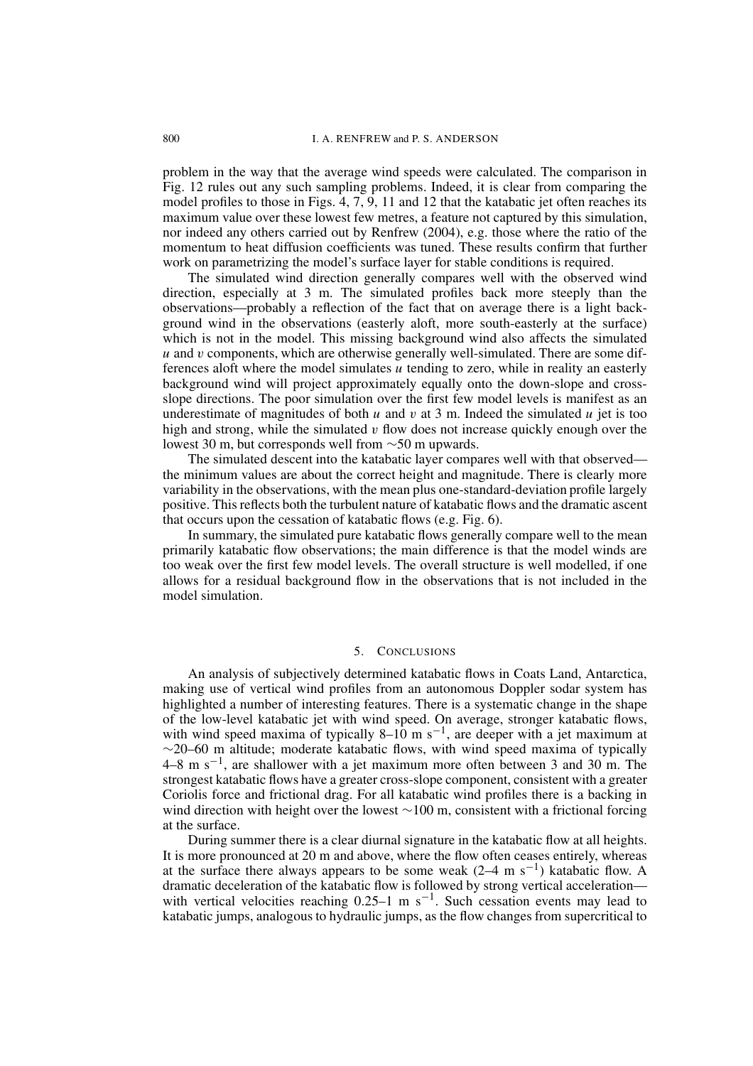problem in the way that the average wind speeds were calculated. The comparison in Fig. 12 rules out any such sampling problems. Indeed, it is clear from comparing the model profiles to those in Figs.  $4, 7, 9, 11$  and 12 that the katabatic jet often reaches its maximum value over these lowest few metres, a feature not captured by this simulation, nor indeed any others carried out by Renfrew (2004), e.g. those where the ratio of the momentum to heat diffusion coefficients was tuned. These results confirm that further work on parametrizing the model's surface layer for stable conditions is required.

The simulated wind direction generally compares well with the observed wind direction, especially at 3 m. The simulated profiles back more steeply than the observations—probably a reflection of the fact that on average there is a light background wind in the observations (easterly aloft, more south-easterly at the surface) which is not in the model. This missing background wind also affects the simulated  $u$  and  $v$  components, which are otherwise generally well-simulated. There are some differences aloft where the model simulates  $\mu$  tending to zero, while in reality an easterly background wind will project approximately equally onto the down-slope and crossslope directions. The poor simulation over the first few model levels is manifest as an underestimate of magnitudes of both  $u$  and  $v$  at 3 m. Indeed the simulated  $u$  jet is too high and strong, while the simulated  $v$  flow does not increase quickly enough over the lowest 30 m, but corresponds well from  $\sim$ 50 m upwards.

The simulated descent into the katabatic layer compares well with that observed the minimum values are about the correct height and magnitude. There is clearly more variability in the observations, with the mean plus one-standard-deviation profile largely positive. This reflects both the turbulent nature of katabatic flows and the dramatic ascent that occurs upon the cessation of katabatic flows (e.g. Fig. 6).

In summary, the simulated pure katabatic flows generally compare well to the mean primarily katabatic flow observations; the main difference is that the model winds are too weak over the first few model levels. The overall structure is well modelled, if one allows for a residual background flow in the observations that is not included in the model simulation.

#### $\sim$ **CONCLUSIONS**

An analysis of subjectively determined katabatic flows in Coats Land, Antarctica, making use of vertical wind profiles from an autonomous Doppler sodar system has highlighted a number of interesting features. There is a systematic change in the shape of the low-level katabatic jet with wind speed. On average, stronger katabatic flows, with wind speed maxima of typically 8–10 m s<sup>-1</sup>, are deeper with a jet maximum at  $\sim$ 20–60 m altitude; moderate katabatic flows, with wind speed maxima of typically  $4-8$  m s<sup>-1</sup>, are shallower with a jet maximum more often between 3 and 30 m. The strongest katabatic flows have a greater cross-slope component, consistent with a greater Coriolis force and frictional drag. For all katabatic wind profiles there is a backing in wind direction with height over the lowest  $\sim$ 100 m, consistent with a frictional forcing at the surface.

During summer there is a clear diurnal signature in the katabatic flow at all heights. It is more pronounced at 20 m and above, where the flow often ceases entirely, whereas at the surface there always appears to be some weak  $(2-4 \text{ m s}^{-1})$  katabatic flow. A dramatic deceleration of the katabatic flow is followed by strong vertical acceleration with vertical velocities reaching  $0.25-1$  m s<sup>-1</sup>. Such cessation events may lead to katabatic jumps, analogous to hydraulic jumps, as the flow changes from supercritical to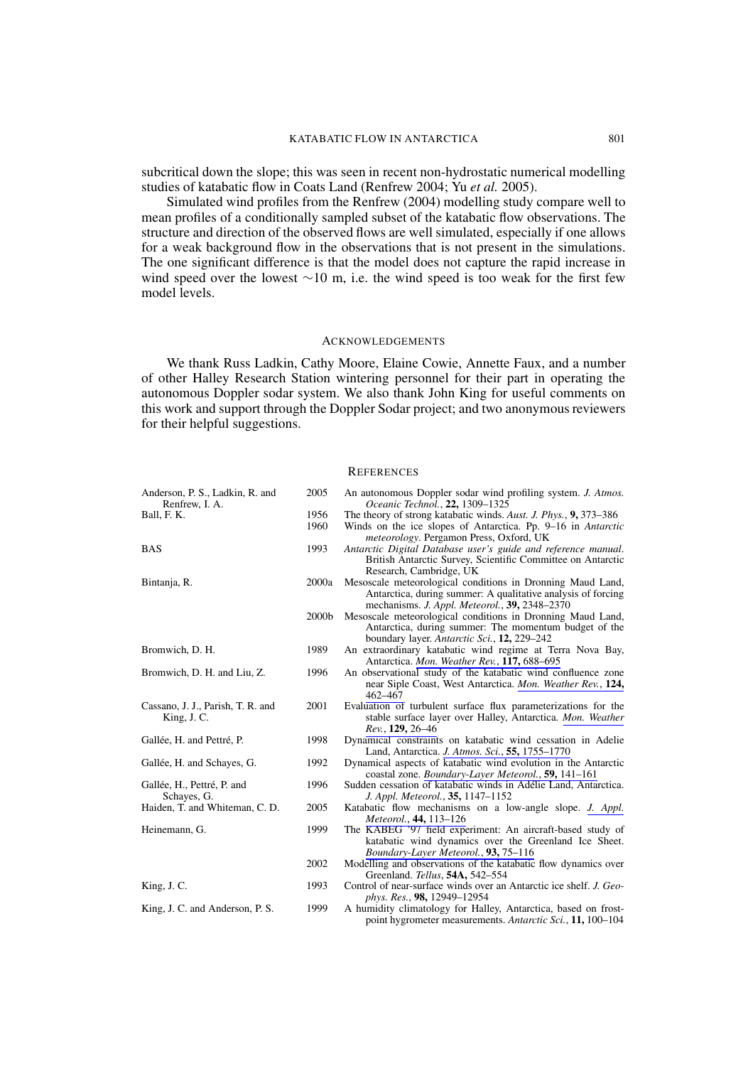subcritical down the slope; this was seen in recent non-hydrostatic numerical modelling studies of katabatic flow in Coats Land (Renfrew 2004; Yu et al. 2005).

Simulated wind profiles from the Renfrew (2004) modelling study compare well to mean profiles of a conditionally sampled subset of the katabatic flow observations. The structure and direction of the observed flows are well simulated, especially if one allows for a weak background flow in the observations that is not present in the simulations. The one significant difference is that the model does not capture the rapid increase in wind speed over the lowest  $\sim 10$  m, i.e. the wind speed is too weak for the first few model levels.

# **ACKNOWLEDGEMENTS**

We thank Russ Ladkin, Cathy Moore, Elaine Cowie, Annette Faux, and a number of other Halley Research Station wintering personnel for their part in operating the autonomous Doppler sodar system. We also thank John King for useful comments on this work and support through the Doppler Sodar project; and two anonymous reviewers for their helpful suggestions.

## **REFERENCES**

| Anderson, P. S., Ladkin, R. and<br>Renfrew, I. A. | 2005  | An autonomous Doppler sodar wind profiling system. J. Atmos.<br>Oceanic Technol., 22, 1309-1325                                                                             |
|---------------------------------------------------|-------|-----------------------------------------------------------------------------------------------------------------------------------------------------------------------------|
| Ball, F. K.                                       | 1956  | The theory of strong katabatic winds. Aust. J. Phys., 9, 373–386                                                                                                            |
|                                                   | 1960  | Winds on the ice slopes of Antarctica. Pp. 9–16 in Antarctic<br><i>meteorology</i> . Pergamon Press, Oxford, UK                                                             |
| <b>BAS</b>                                        | 1993  | Antarctic Digital Database user's guide and reference manual.<br>British Antarctic Survey, Scientific Committee on Antarctic<br>Research, Cambridge, UK                     |
| Bintanja, R.                                      | 2000a | Mesoscale meteorological conditions in Dronning Maud Land,<br>Antarctica, during summer: A qualitative analysis of forcing<br>mechanisms. J. Appl. Meteorol., 39, 2348-2370 |
|                                                   | 2000b | Mesoscale meteorological conditions in Dronning Maud Land,<br>Antarctica, during summer: The momentum budget of the<br>boundary layer. Antarctic Sci., 12, 229–242          |
| Bromwich, D. H.                                   | 1989  | An extraordinary katabatic wind regime at Terra Nova Bay,<br>Antarctica. Mon. Weather Rev., 117, 688-695                                                                    |
| Bromwich, D. H. and Liu, Z.                       | 1996  | An observational study of the katabatic wind confluence zone<br>near Siple Coast, West Antarctica. Mon. Weather Rev., 124,<br>462–467                                       |
| Cassano, J. J., Parish, T. R. and<br>King, J. C.  | 2001  | Evaluation of turbulent surface flux parameterizations for the<br>stable surface layer over Halley, Antarctica. Mon. Weather<br>Rev., 129, 26–46                            |
| Gallée, H. and Pettré, P.                         | 1998  | Dynamical constraints on katabatic wind cessation in Adelie<br>Land, Antarctica. J. Atmos. Sci., 55, 1755-1770                                                              |
| Gallée, H. and Schayes, G.                        | 1992  | Dynamical aspects of katabatic wind evolution in the Antarctic<br>coastal zone. Boundary-Layer Meteorol., 59, 141-161                                                       |
| Gallée, H., Pettré, P. and<br>Schayes, G.         | 1996  | Sudden cessation of katabatic winds in Adélie Land, Antarctica.<br>J. Appl. Meteorol., 35, 1147-1152                                                                        |
| Haiden, T. and Whiteman, C. D.                    | 2005  | Katabatic flow mechanisms on a low-angle slope. J. Appl.<br>Meteorol., 44, 113-126                                                                                          |
| Heinemann, G.                                     | 1999  | The KABEG '97 field experiment: An aircraft-based study of<br>katabatic wind dynamics over the Greenland Ice Sheet.<br>Boundary-Layer Meteorol., 93, 75-116                 |
|                                                   | 2002  | Modelling and observations of the katabatic flow dynamics over<br>Greenland. Tellus, 54A, 542–554                                                                           |
| King, J. C.                                       | 1993  | Control of near-surface winds over an Antarctic ice shelf. J. Geo-<br>phys. Res., 98, 12949–12954                                                                           |
| King, J. C. and Anderson, P. S.                   | 1999  | A humidity climatology for Halley, Antarctica, based on frost-<br>point hygrometer measurements. Antarctic Sci., 11, 100–104                                                |